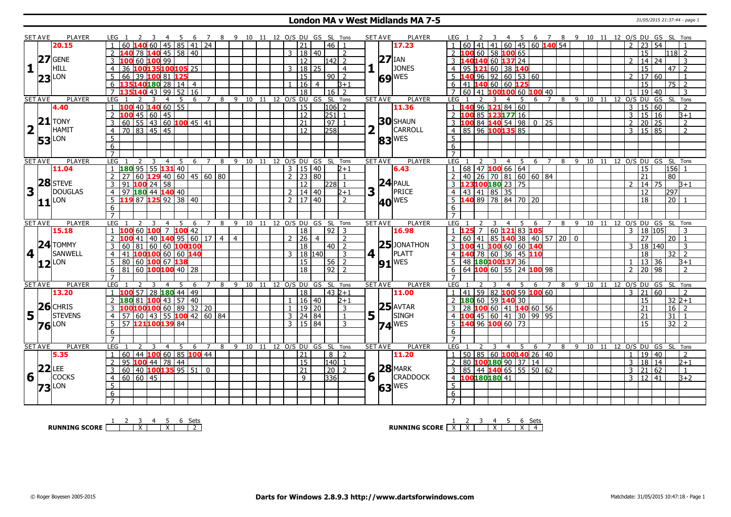#### **London MA v West Midlands MA 7-5** 31/05/2015 21:37:44 - page 1

|                         | <b>SET AVE</b>       | PLAYER                                        | 3  4  5  6  7  8  9  10  11  12  O/S  DU  GS  SL  Tons<br>LEG 1      |                          |                     |                                |                            |                     |                |                                  | <b>SET AVE</b><br><b>PLAYER</b> | 2 3 4 5 6 7 8 9 10 11 12 O/S DU GS SL Tons<br>LEG 1                                               |
|-------------------------|----------------------|-----------------------------------------------|----------------------------------------------------------------------|--------------------------|---------------------|--------------------------------|----------------------------|---------------------|----------------|----------------------------------|---------------------------------|---------------------------------------------------------------------------------------------------|
|                         |                      | 20.15                                         | $145 \mid 85 \mid 41 \mid$<br>60 140 60                              | 24                       |                     |                                |                            | 21                  |                | l 46 l                           | 17.23                           | $141$ 41 60 45 60 140 54<br>54<br>23<br>$\mathcal{D}$                                             |
|                         |                      |                                               | 78 140 45 58 40                                                      |                          |                     |                                |                            | 3   18   40         |                | 2                                |                                 | 2 100 60 58 100 65<br>15<br>118l 2                                                                |
|                         | 27                   | <b>GENE</b>                                   | 60 100 99<br>100                                                     |                          |                     |                                |                            | 12                  |                | $\overline{2}$<br>1421           | $27$ IAN                        | 40140 60 137 24<br>14<br>24<br>3                                                                  |
| $\mathbf{1}$            |                      | <b>HILL</b>                                   | 100135100105 25<br>36<br>$\overline{4}$                              |                          |                     |                                |                            | 3   18   25         |                | $\overline{4}$                   | <b>JONES</b>                    | 95 121 60 38 140<br>$47$   2<br>15<br>4                                                           |
|                         |                      | LON                                           | 66<br>39 100 81 125<br>$5^{\circ}$                                   |                          |                     |                                |                            | $\overline{15}$     |                | $90$   2                         | $69$ WES                        | 40 96 92 60 53 60<br>60<br>17 <sup>1</sup><br>$\overline{1}$                                      |
|                         | 23                   |                                               | 135140180 28 14 4<br>6                                               |                          |                     |                                |                            | 16                  | $\overline{4}$ | $3+1$                            |                                 | 15<br>$75\overline{2}$<br>6<br>  41   140 60   60   125                                           |
|                         |                      |                                               | 99<br>$\sqrt{43}$<br>52<br>$\overline{7}$<br>140                     | $\overline{16}$          |                     |                                |                            | $\overline{18}$     |                | 16  <br>$\overline{2}$           |                                 | 60<br>141 100100 60 100 40<br>$\overline{19}$<br>40<br>3<br>$\overline{7}$                        |
|                         | <b>SET AVE</b>       | PLAYER                                        | <b>LEG</b><br>-5<br>2<br>3<br>$\overline{4}$                         | 6                        | $\overline{7}$      | 8 9 10 11 12 0/S DU GS SL Tons |                            |                     |                |                                  | <b>SET AVE</b><br><b>PLAYER</b> | LEG<br>6 7<br>8 9 10 11 12 O/S DU GS SL Tons<br>- 5<br>$\overline{4}$                             |
|                         |                      | 4.40                                          | 40 140 60 55<br>$1\,100$                                             |                          |                     |                                |                            | 15                  |                | $ 106 $ 2                        | 11.36                           | 96 121 84 60<br>15<br>60<br>$\overline{2}$<br>1140<br>3                                           |
|                         |                      |                                               | $100$ 45 60 45<br>2                                                  |                          |                     |                                |                            | $\overline{12}$     |                | 251 <br>$\overline{1}$           |                                 | 85 123 177 16<br>3   15   16<br>$\overline{B+1}$<br>$2\,100$                                      |
|                         |                      | $21$ TONY                                     | 60 55 43 60 100 45 41<br>$\overline{3}$                              |                          |                     |                                |                            | $\overline{21}$     |                | $\sqrt{97}$                      | <b>30</b> SHAUN                 | $10084$ 140 54 98 0 25<br>$\sqrt{20}$ 25<br>$\overline{2}$<br>$\overline{2}$                      |
| $\overline{\mathbf{2}}$ |                      | HAMIT                                         | 70 83 45 45<br>$\overline{4}$                                        |                          |                     |                                |                            | $\overline{12}$     |                | 258                              | CARROLL                         | $4$ 85 96 100 135 85<br>$3 \mid 15 \mid 85$<br>$\overline{2}$                                     |
|                         |                      |                                               | $\overline{5}$                                                       |                          |                     |                                |                            |                     |                |                                  |                                 | 5                                                                                                 |
|                         |                      | $53$ <sup>LON</sup>                           | 6                                                                    |                          |                     |                                |                            |                     |                |                                  | 83 <sup>WES</sup>               |                                                                                                   |
|                         |                      |                                               |                                                                      |                          |                     |                                |                            |                     |                |                                  |                                 | 6                                                                                                 |
|                         | <b>SET AVE</b>       | PLAYER                                        | LEG<br>- 5<br>2<br>3<br>$\overline{4}$                               | 6<br>$\overline{7}$      | 8                   | 9<br>10                        |                            |                     |                | 11 12 0/S DU GS SL Tons          | <b>SET AVE</b><br>PLAYER        | LEG<br>- 5<br>8<br>9<br>10<br>12 O/S DU GS SL Tons<br>$\overline{4}$<br>6<br>$\overline{7}$<br>11 |
|                         |                      | 11.04                                         | $180$ 95 55 131 40                                                   |                          |                     |                                |                            | 3   15   40         |                | $2 + 1$                          | 6.43                            | 68 47 100 66 64<br>156<br>$\overline{15}$                                                         |
|                         |                      |                                               | 60129<br>2<br>27                                                     | $40 \ 60 \ 45 \ 60 \ 80$ |                     |                                |                            | $2$   23   80       |                | $\overline{1}$                   |                                 | $140$ 26 70 81 60 60 84<br>$\overline{21}$<br>80<br><sup>2</sup>                                  |
|                         | 28                   | <b>STEVE</b>                                  | $100$ 24 58<br>$\mathbf{3}$<br>91                                    |                          |                     |                                |                            | 12                  |                | $228$ 1                          |                                 | 3 123100180 23 75<br>14 75<br>$\mathcal{D}$<br>$B+1$                                              |
| $\overline{\mathbf{3}}$ |                      | DOUGLAS                                       |                                                                      |                          |                     |                                |                            |                     |                |                                  | <b>24</b> PAUL                  | $\overline{12}$                                                                                   |
|                         |                      |                                               | $97$ 180 44 140 40<br>$\overline{4}$<br>$5\overline{119}87125923840$ |                          |                     |                                |                            | $2 \mid 14 \mid 40$ |                | $2 + 1$                          | $3\vert\bar{1}$                 | $143$ 41 85 35<br> 297 <br>4                                                                      |
|                         | 11                   | LON                                           |                                                                      |                          |                     |                                |                            | $2 \mid 17 \mid 40$ |                | $\overline{2}$                   | <b>40 WES</b>                   | $\overline{5}$ 140 89 78 84 70 20<br>20<br>$\overline{18}$<br>$\overline{1}$                      |
|                         |                      |                                               | 6                                                                    |                          |                     |                                |                            |                     |                |                                  |                                 | 6                                                                                                 |
|                         |                      |                                               | $\overline{7}$                                                       |                          |                     |                                |                            |                     |                |                                  |                                 |                                                                                                   |
|                         |                      |                                               |                                                                      |                          |                     |                                |                            |                     |                |                                  |                                 |                                                                                                   |
|                         | <b>SET AVE</b>       | <b>PLAYER</b>                                 | LEG<br>-5<br>4                                                       | 6                        | 8                   | 9                              |                            |                     |                | 10 11 12 O/S DU GS SL Tons       | <b>SET AVE</b><br><b>PLAYER</b> | LEG<br>9<br>10 11<br>12 O/S DU GS SL Tons<br>$\overline{4}$<br>- 5<br>$\overline{7}$<br>8<br>-6   |
|                         |                      | 15.18                                         | 60 100<br>$\overline{7}$                                             | 100 42                   |                     |                                |                            | 18                  |                | $92 \mid 3$                      | 16.98                           | 60 121 83 105<br>18 105<br>$\mathcal{E}$                                                          |
|                         |                      |                                               | 40 140 95 60 17<br>41                                                |                          | $\overline{4}$      | $\overline{4}$                 | $\mathcal{P}$              | 26                  | $\overline{4}$ | $\overline{2}$                   |                                 | 851403814057200<br>27<br>$60$ 41<br>20 <sub>1</sub><br>$\overline{1}$                             |
|                         |                      | $24$ TOMMY                                    | 60<br>3                                                              |                          |                     |                                |                            | 18                  |                | $\overline{2}$<br>l 40 l         | $25$ JONATHON                   | $41$ 100 60<br>60 140<br>140<br>18<br>3<br>3                                                      |
|                         | 4 <sup>1</sup>       | SANWELL                                       | <b>81</b> 60 60 100 100<br>100 100 60 60 140<br>$\overline{4}$<br>41 |                          |                     |                                |                            | 3   18   140        |                | $\overline{3}$                   | 4 1<br>PLATT                    | 40 78 60 36 45 110<br>18<br>$32$   2<br>$\overline{4}$                                            |
|                         | 12                   | LON                                           | 80 60 100 67 138<br>5                                                |                          |                     |                                |                            | 15                  |                | 56<br>$\overline{2}$             |                                 | 48 180 100 137 36<br>36<br>5<br>13<br>$3+1$                                                       |
|                         |                      |                                               | $81 \, 60$ 100100 40 28<br>6                                         |                          |                     |                                |                            | $\overline{18}$     |                | $92$   2                         | $91$ <sup>WES</sup>             | 64 100 60 55 24 100 98<br>$\overline{2}$<br>$\overline{20}$<br>98<br>$\overline{2}$<br>6          |
|                         |                      |                                               | $\overline{7}$                                                       |                          |                     |                                |                            |                     |                |                                  |                                 | $\overline{7}$                                                                                    |
|                         | <b>SET AVE</b>       | PLAYER                                        | <b>LEG</b><br>3<br>-5<br>$\overline{4}$                              | 6                        | $7^{\circ}$         | 8 9 10 11 12 O/S DU GS SL Tons |                            |                     |                |                                  | <b>PLAYER</b><br><b>SET AVE</b> | <b>LEG</b><br>8<br>9 10 11 12 O/S DU GS SL Tons<br>6<br>$\overline{7}$<br>4                       |
|                         |                      | 13.20                                         | $1 \overline{100}$ 57   28 $\overline{180}$ 44   49                  |                          |                     |                                |                            | 18                  |                | $432+1$                          | 11.00                           | $141$ 59 82 100 59 100 60<br>$3 \ 21 \ 60$<br>$\overline{2}$<br>$\overline{1}$                    |
|                         |                      |                                               | 180 81 100 43 57 40<br>$\overline{2}$                                |                          |                     |                                |                            | $1 \ 16 \ 40$       |                | $2 + 1$                          |                                 | 180 60 59 140 30<br>$32 2+1$<br>2<br>15                                                           |
|                         |                      |                                               | 100100100 60 89 32 20                                                |                          |                     |                                | $\mathbf{1}$               | 19 20               |                | 3                                | $25$ <b>AVTAR</b>               | 28 100 60 41 140 60 56<br>$\overline{21}$<br>$16 \mid 2$                                          |
|                         |                      | $5\frac{ 26 }{ 37 }$ STEVEN<br><b>STEVENS</b> | 60 43 55 100 42 60 84<br>57<br>$\overline{4}$                        |                          |                     |                                | 3                          | 24 84               |                | $\mathbf{1}$                     | $5\vert$ <sup>T</sup><br>SINGH  | 45 60 41 30 99 95<br>21<br>31                                                                     |
|                         |                      |                                               | $5^{\circ}$<br>57 121100139 84                                       |                          |                     |                                |                            | 3   15   84         |                | 3                                |                                 | 40 96 100 60 73<br>$32$   2<br>$\overline{15}$                                                    |
|                         |                      | $76$ <sup>LON</sup>                           | 6                                                                    |                          |                     |                                |                            |                     |                |                                  | $74$ <sup>WES</sup>             | 6                                                                                                 |
|                         |                      |                                               | $\overline{7}$                                                       |                          |                     |                                |                            |                     |                |                                  |                                 |                                                                                                   |
|                         | <b>SET AVE</b>       | PLAYER                                        | LEG<br>-5<br>3<br>$\overline{4}$                                     | 6                        | $\overline{7}$<br>8 | 9                              | 10 11 12 0/S DU GS SL Tons |                     |                |                                  | <b>SET AVE</b><br><b>PLAYER</b> | LEG<br>12 O/S DU GS SL Tons<br>5<br>6<br>8<br>9 10<br>4<br>7<br>11                                |
|                         |                      | 5.35                                          | 44   100 60   85   100   44<br>$\overline{1}$<br>  60                |                          |                     |                                |                            | 21                  |                | 8 <sup>1</sup><br>$\overline{z}$ | 11.20                           | 50 85 60 100140 26 40<br>19 40<br>$\overline{2}$<br>۰ĵ۰<br>$\overline{1}$                         |
|                         |                      |                                               | 95 100 44 78 44<br>2                                                 |                          |                     |                                |                            | 15                  |                | 140 <br>$\overline{1}$           |                                 | 80 100 180 90 37 14<br>18<br>$\overline{3}$<br>  14<br>$2 + 1$                                    |
|                         |                      | LEE                                           | 60 40 100135 95 51<br>$\overline{3}$                                 | 0                        |                     |                                |                            | 21                  |                | 20 2                             | $28$ MARK                       | $85 \mid 44$ 140 65 55 50 62<br>3   21  <br>62<br>$\mathbf{1}$<br>3                               |
|                         |                      | <b>COCKS</b>                                  | 60 60 45<br>$\overline{4}$                                           |                          |                     |                                |                            | $\mathsf{q}$        |                | 336                              | $6\sqrt{ }$<br><b>CRADDOCK</b>  | 4 100180180 41<br>$3 \mid 12 \mid 41$<br>$B + 2$                                                  |
|                         | $16\frac{ 22 }{ 1 }$ | LON                                           | $5\overline{)}$                                                      |                          |                     |                                |                            |                     |                |                                  |                                 | 5                                                                                                 |
|                         | 73                   |                                               | 6                                                                    |                          |                     |                                |                            |                     |                |                                  | $63$ <sup>WES</sup>             | 6                                                                                                 |

**RUNNING SCORE** 1 2 3 X 4 5 X 6 Sets 2

**RUNNING SCORE**  $\begin{array}{|c|c|c|c|c|}\n\hline\n & 2 & 3 & 4 & 5 & 6 & \text{Sets} \\
\hline\n\end{array}$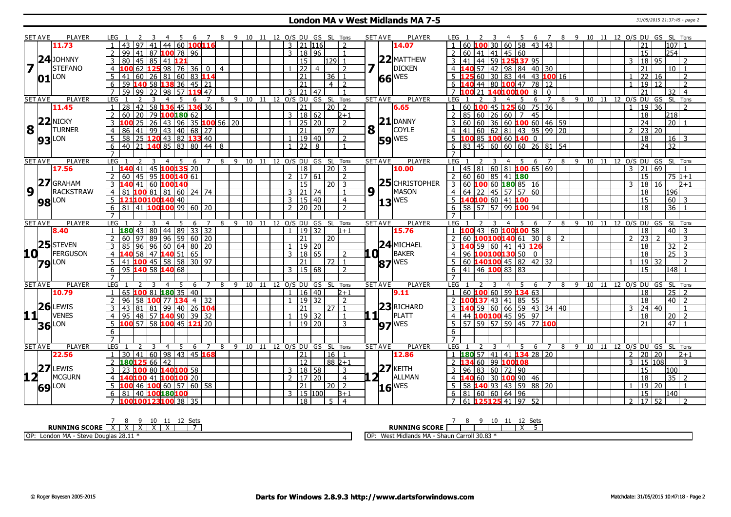### **London MA v West Midlands MA 7-5** 31/05/2015 21:37:45 - page 2

| <b>SET AVE</b>            |    | PLAYER        | LEG<br>$-6$                                                   | 7 8 9 10 11 12 O/S DU GS SL Tons                 |                              |                             |                |                       | <b>SET AVE</b> | <b>PLAYER</b>       | 6 7 8 9 10 11 12 O/S DU GS SL Tons<br>5<br>LEG<br>-4                                          |
|---------------------------|----|---------------|---------------------------------------------------------------|--------------------------------------------------|------------------------------|-----------------------------|----------------|-----------------------|----------------|---------------------|-----------------------------------------------------------------------------------------------|
|                           |    | 11.73         | 44 60 100 116<br>43<br>97<br>41                               |                                                  |                              | 3 21 116                    |                | $\overline{z}$        |                | 14.07               | 30   60   58   43   43<br>$ 107 $ 1<br>60 100<br>21                                           |
|                           |    |               | 99<br>41<br>87 <b>100</b> 78 96<br>2                          |                                                  |                              | 3 18 96                     |                | $\overline{1}$        |                |                     | 254 <br>  60   41   41   45   60<br>15<br>2                                                   |
|                           |    | $24$ JOHNNY   | 45<br>3<br>80<br>l 85 l<br>41 121                             |                                                  |                              | l 15                        |                | $129$ 1               |                | $22$ MATTHEW        | $141$ 44 59 125137 95<br>18 95<br>3<br>$\overline{3}$<br>$\overline{2}$                       |
|                           |    | STEFANO       | $12598$ 76 36 0 4<br>62<br>4                                  |                                                  |                              | $\overline{22}$             | $\overline{4}$ | $\overline{z}$        |                | <b>DICKEN</b>       | $\overline{21}$<br>57 42 98 84 40 30<br>$10$   1<br>$\overline{4}$                            |
|                           | 01 | <b>LON</b>    | 81 60 83 114<br>41<br>60<br>$26 \mid$                         |                                                  |                              | 21                          |                | $36$   1              |                | 66 WES              | 60 30 83 44 43 100 16<br>22 16<br>$\overline{z}$                                              |
|                           |    |               | 59<br>  58   <b>138</b> 36   45   21<br>6                     |                                                  |                              | 21                          |                | 4   2                 |                |                     | $\overline{19}$<br>$\overline{2}$<br>78 12<br>l 12<br>44   80 <b>100</b> 47                   |
|                           |    |               | 59<br>99<br>22<br>5711947<br>98                               |                                                  |                              | 21<br>3                     | 47             |                       |                |                     | 32<br>$\overline{4}$<br>8<br>$\mathbf{0}$                                                     |
| <b>SET AVE</b>            |    | <b>PLAYER</b> | LEG <sub>1</sub><br>5<br>6                                    | $\overline{7}$<br>8                              | 9 10 11 12 O/S DU GS SL Tons |                             |                |                       | <b>SET AVE</b> | <b>PLAYER</b>       | 10 11 12 0/S DU GS SL Tons<br>LEG <sub>1</sub><br>$\overline{7}$<br>8 9<br>- 5<br>6<br>4      |
|                           |    | 11.45         | 58 136 45 136 36<br>28 I<br>42                                |                                                  |                              | 21                          |                | $\sqrt{20}$ 2         |                | 6.65                | 45 125 60 75 36<br>19 36<br>60 100<br>$\overline{2}$<br>$\mathbf{1}$                          |
|                           |    |               | 60<br>20 <sup>1</sup><br>79 100 180 62                        |                                                  |                              | 3 <sup>1</sup><br>  18   62 |                | $2 + 1$               |                |                     | 45<br>85<br>26 60 7<br>18<br>218<br>60                                                        |
|                           |    | $22$ NICKY    | 26<br>  43   96   35 <b> 100</b> 56   20<br>25                |                                                  |                              | 25 20                       |                | 2                     |                | $21$ DANNY          | $36 \mid 60$ 100 60 46 59<br>60 60<br>$\overline{24}$<br>$\overline{20}$                      |
| $\overline{\mathbf{8}}$ T |    | <b>TURNER</b> | 99 43 40 68 27<br>4<br>l 41 l<br>86                           |                                                  |                              | 21                          |                | l 97                  | 8 <sup>1</sup> | <b>COYLE</b>        | $4 \mid 41 \mid 60 \mid 62 \mid 81 \mid 43 \mid 95 \mid 99 \mid 20$<br>$\mathcal{P}$<br>23 20 |
|                           |    |               | 25 120 43 82 133 40<br>58<br>5                                |                                                  |                              | 19   40                     |                | $\mathcal{L}$         |                |                     | 100 85 100 60 140 0<br>18<br>$16$ 3                                                           |
|                           |    | <b>93</b> LON | 40 21 140 85 83 80 44 8<br>6                                  |                                                  |                              | $1 \overline{22}$ 8         |                |                       |                | <b>59 WES</b>       | $6$ 83 45 60 60 60 26 81 54<br>$\overline{24}$<br>$\overline{32}$                             |
|                           |    |               | $\overline{7}$                                                |                                                  |                              |                             |                |                       |                |                     | $\overline{7}$                                                                                |
| <b>SET AVE</b>            |    | <b>PLAYER</b> | LEG<br>-5<br>-6                                               | 8                                                | 9 10 11 12 O/S DU GS SL Tons |                             |                |                       | <b>SET AVE</b> | <b>PLAYER</b>       | LEG<br>8 9 10 11 12 0/S DU GS SL Tons<br>-5<br>4<br>6<br>7                                    |
|                           |    | 17.56         | 45 100 135 20<br>140 41                                       |                                                  |                              | 18                          |                | 20 3                  |                | 10.00               | 45 81 60 81 100 65 69<br>21 69<br>$\mathcal{E}$                                               |
|                           |    |               | 45   95   100   140   61<br>$\overline{2}$<br>60              |                                                  |                              | 2   17   61                 |                | $\overline{2}$        |                |                     | 60 60 85 41 180<br>15<br>$\sqrt{75}$ 1+1<br>$\overline{2}$                                    |
|                           |    | $27$ GRAHAM   | 41 <br>60 100140<br>3                                         |                                                  |                              | 15                          |                | $20$   3              |                | 25 CHRISTOPHER      | 18<br><sup>16</sup><br>3<br>3<br>$2 + 1$                                                      |
| 9 <sup>T</sup>            |    | RACKSTRAW     | 4 81 100 81 81 60 24 74                                       |                                                  |                              | $3 \mid 21 \mid 74 \mid$    |                | $\vert$ 1             | 9 1            | MASON               | 4   64   22   45   57   57   60<br>18<br>196                                                  |
|                           |    |               | 5 121100100140 40                                             |                                                  |                              | 3   15   40                 |                | $\overline{4}$        |                |                     | 140100 60 41 100<br>60<br>15<br>-3                                                            |
|                           |    | <b>98</b> LON | 81 41 100100 99 60 20<br>6 <sup>7</sup>                       |                                                  |                              | $2$   20   20               |                | $\overline{2}$        |                | $13$ <sup>WES</sup> | 58 57 57 99 100 94<br>36<br>$\overline{18}$                                                   |
|                           |    |               | $\overline{7}$                                                |                                                  |                              |                             |                |                       |                |                     |                                                                                               |
| <b>SET AVE</b>            |    | <b>PLAYER</b> | LEG <sub>1</sub><br>5<br>-6<br>3<br>$\overline{4}$            | 8 9 10 11 12 O/S DU GS SL Tons<br>$\overline{7}$ |                              |                             |                |                       | <b>SET AVE</b> | <b>PLAYER</b>       | 8 9 10 11 12 0/S DU GS SL Tons<br>LEG <sub>1</sub><br>5<br>6<br>7<br>$\overline{4}$           |
|                           |    | 8.40          | $180$ 43 80 44 89 33 32                                       |                                                  |                              | 1932<br>$\mathbf{1}$        |                | $1+1$                 |                | 15.76               | 43 60 100100 58<br>$\overline{18}$<br>$\overline{40}$<br>$\overline{3}$<br>100                |
|                           |    |               | 89   96   59   60   20<br>$\overline{\phantom{0}}$<br>60   97 |                                                  |                              | 21                          |                | 20                    |                |                     | 60 $100100140613082$<br>23<br>$\mathcal{P}$<br>3<br>$\mathcal{D}$                             |
|                           |    | 25 STEVEN     | 96   60   64   80   20<br>96                                  |                                                  |                              | $19$ 20                     |                |                       |                | 24 MICHAEL          | 32<br>59<br>60 41<br>43126<br>18<br>$\overline{2}$                                            |
| 10 L                      |    | FERGUSON      | 47 <b>140</b> 51 65<br>58<br>4                                |                                                  |                              | 18   65<br>3                |                | $\overline{z}$        | $\mathbf{0}$   | <b>BAKER</b>        | 100100130 50 0<br>18<br>$25 \mid 3$<br>96                                                     |
|                           |    |               | 5   41   100   45   58   58   30   97                         |                                                  |                              | 21                          |                | 72   1                |                |                     | 60 $140100$ 45 82 42 32<br>19 32<br>$\overline{2}$                                            |
|                           |    | <b>79</b> LON | 95 140 58 140 68<br>6                                         |                                                  |                              | 15   68<br>3                |                | $\overline{2}$        |                | $87$ <sup>WES</sup> | 41 46 100 83 83<br>$ 148 $ 1<br>15<br>6                                                       |
|                           |    |               |                                                               |                                                  |                              |                             |                |                       |                |                     |                                                                                               |
| <b>SET AVE</b>            |    | <b>PLAYER</b> | LEG<br>$\overline{4}$<br>5                                    | $7^{\circ}$<br>8                                 | 9 10 11 12 0/S DU GS SL Tons |                             |                |                       | <b>SET AVE</b> | <b>PLAYER</b>       | 9 10 11 12 0/S DU GS SL Tons<br>LEG<br>8<br>4<br>-5<br>6<br>7                                 |
|                           |    | 10.79         | 6<br>65 100 81 180 35 40                                      |                                                  |                              | 16   40<br>$\mathbf{1}$     |                | $2 + 1$               |                | 9.11                | $60$ 100 60 59 134 63<br>18<br>$25$   2                                                       |
|                           |    |               | 96<br>58 100 77 134 4 32<br>2                                 |                                                  |                              | 19   32                     |                | 2                     |                |                     | $100137$ 43 41 85 55<br>18<br>40   2<br>2                                                     |
|                           |    | $26$ LEWIS    | 81 99 40 26 104<br>3<br>81<br>43                              |                                                  |                              | 21                          |                | $\sqrt{27}$ 1         |                | $23$ RICHARD        | $24 \mid 40$<br>59 60 66 59 43 34 40<br>3 <sup>1</sup><br>$\mathbf{3}$<br>$\overline{1}$      |
|                           |    | <b>VENES</b>  |                                                               |                                                  |                              |                             |                |                       | 11             | PLATT               |                                                                                               |
| 11+                       |    |               | 48 <br>  57   140 90   39   32<br>95<br>$\overline{4}$        |                                                  |                              | 19   32                     |                | $\mathbf{1}$          |                |                     | 44 100100 45 95 97<br>18<br>20<br>$\overline{4}$<br>$\overline{2}$                            |
|                           |    | <b>36</b> LON | 5 100 57 58 100 45 121 20                                     |                                                  |                              | 1   19   20                 |                | 3                     |                | $97$ WES            | 5 57 59 57 59 45 77 100<br>47<br>21                                                           |
|                           |    |               | 6                                                             |                                                  |                              |                             |                |                       |                |                     | 6                                                                                             |
|                           |    |               | $\overline{7}$                                                |                                                  |                              |                             |                |                       |                |                     |                                                                                               |
| <b>SET AVE</b>            |    | PLAYER        | LEG<br>5 6 7<br>3<br>$\overline{4}$                           | 8 9 10 11 12 O/S DU GS SL Tons                   |                              |                             |                |                       | <b>SET AVE</b> | <b>PLAYER</b>       | LEG <sub>1</sub><br>4 5 6 7<br>8 9 10 11<br>12<br>O/S DU GS SL Tons                           |
|                           |    | 22.56         | $1 \mid 30 \mid 41 \mid 60 \mid 98 \mid 43 \mid 45$ 168       |                                                  |                              | 21                          |                | 16   1                |                | 12.86               | 1 <b>180</b> 57 41 41 <b>134</b> 28 20<br>20 20<br>$\overline{2}$<br>$2 + 1$                  |
|                           |    | $27$ LEWIS    | 180125<br>66<br>42<br>$\overline{2}$                          |                                                  |                              | <b>12</b>                   |                | $882+1$               |                | $27$ KEITH          | 60 99 100108<br>15 108<br>3<br>3                                                              |
|                           |    |               | 100 80 140 100 58<br>23                                       |                                                  |                              | 3   18   58                 |                | $\overline{3}$        |                |                     | 83 60 72 90<br>15<br>100<br>96                                                                |
| 12 <sub>1</sub>           |    | <b>MCGURN</b> | LOO 41 200100 20                                              |                                                  |                              | $\mathcal{P}$<br>  17   20  |                | $\overline{4}$        | ו 2            | ALLMAN              | 35<br>60 30 100 90 46<br>18                                                                   |
|                           |    | 69 LON        | LOO 46 200 60 57 60 58                                        |                                                  |                              | 21                          |                | $20$   2              |                | $16$ <sup>WES</sup> | 58 140 93 43 59 88 20<br>19 20                                                                |
|                           |    |               | 6 81 40 100 180 100                                           |                                                  |                              | 3   15   100                |                | $3+1$                 |                |                     | $6 \ 81 \ 60 \ 60 \ 64 \ 96$<br>$\overline{15}$<br> 140                                       |
|                           |    |               | 100100123100 38 35                                            |                                                  |                              | 18                          |                | .5.<br>$\overline{4}$ |                |                     | 61 125125 41<br>52<br>17152<br>97                                                             |

| 10<br><b>Sets</b><br>ーー<br><b>RUNNING SCORE</b><br>$\cdots$<br>$\cdots$ | 10<br>-⊂ot<br>ັບປະ<br><b>RUNNING SCORE</b><br>. .                                                                      |
|-------------------------------------------------------------------------|------------------------------------------------------------------------------------------------------------------------|
| OP:<br>$-20.11 -$<br>London MA - 1<br>e Doualas 28.11<br><b>Steve</b>   | . Carroll 30.83<br><b>L. MAT J.</b><br>$H = A - MA$<br>$M$ oct<br>l OP<br>Shaun<br>---<br>105 P<br><b>VV C.3L</b><br>. |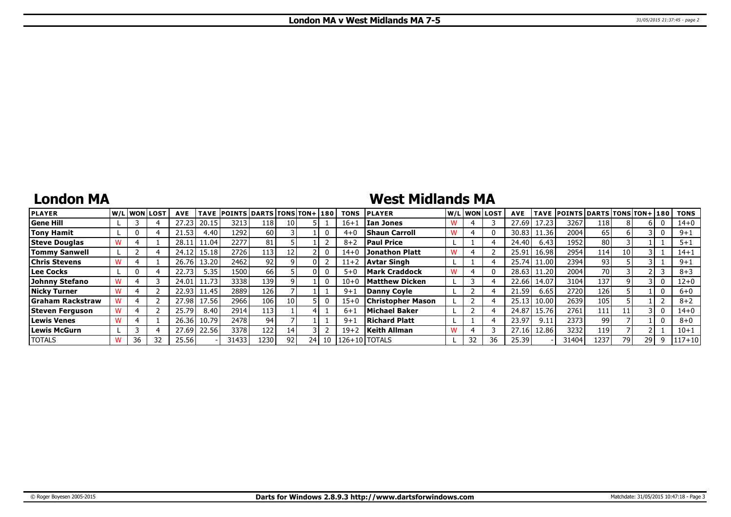## **London MA**

# **West Midlands MA**

| <b>PLAYER</b>           |    | W/Liwonilost! | <b>AVE</b> | <b>TAVE</b> | <b>POINTS DARTS TONS TON+180</b> |      |      |    | <b>TONS</b> | <b>PLAYER</b>            | W/L WON LOST | <b>AVE</b> | <b>TAVE</b> | <b>POINTS DARTS TONS TON+1180</b> |      |     |    | <b>TONS</b> |
|-------------------------|----|---------------|------------|-------------|----------------------------------|------|------|----|-------------|--------------------------|--------------|------------|-------------|-----------------------------------|------|-----|----|-------------|
| <b>Gene Hill</b>        |    |               | 27.23      | 20.15       | 3213                             | 118  | 10 I |    | $16 + 1$    | Ian Jones                |              | 27.69      | 17.23       | 3267                              | 118  |     |    | $14 + 0$    |
| <b>Tony Hamit</b>       |    |               | 21.53      | 4.40        | 1292                             | 60 l |      |    | $4 + 0$     | <b>Shaun Carroll</b>     |              | 30.83      | 11.36       | 2004                              | 65   |     |    | $9 + 1$     |
| <b>Steve Douglas</b>    |    |               | 28.11      | 11.04       | 2277                             | 81   |      |    | $8 + 2$     | <b>Paul Price</b>        |              | 24.40      | 6.43        | 1952                              | 80 l |     |    | $5 + 1$     |
| <b>Tommy Sanwell</b>    |    |               | 24.12      | 15.18       | 2726                             | 113  |      |    | $14 + 0$    | Jonathon Platt           |              | 25.91      | 16.98       | 2954                              | 114  | 10  |    | $14 + 1$    |
| <b>Chris Stevens</b>    |    |               | 26.76      | 13.20       | 2462                             | 92   |      |    | $11+2$      | Avtar Singh              |              | 25.74      | 11.00       | 2394                              | 93   |     |    | $9 + 1$     |
| Lee Cocks               |    |               | 22.73      | 5.35        | 1500                             | 66   |      |    | $5 + 0$     | <b>Mark Craddock</b>     |              | 28.63      | 11.20       | 2004                              | 70 l |     |    | $8 + 3$     |
| Johnny Stefano          |    |               | 24.01      | 11.73       | 3338                             | 139  |      |    | $10 + 0$    | Matthew Dickenl          |              | 22.66      | 14.07       | 3104                              | 137  |     |    | 12+0        |
| <b>Nicky Turner</b>     |    |               | 22.93      | 11.45       | 2889                             | 126  |      |    | $9 + 1$     | Danny Covle              |              | 21.59      | 6.65        | 2720                              | 126  |     |    | $6+0$       |
| <b>Graham Rackstraw</b> |    |               | 27.98      | 17.56       | 2966                             | 106  | 10 I |    | $15 + 0$    | <b>Christopher Mason</b> |              | 25.13      | 10.00       | 2639                              | 105  |     |    | $8 + 2$     |
| Steven Ferguson         |    |               | 25.79      | 8.40        | 2914                             | 113  |      |    | $6 + 1$     | Michael Baker            |              | 24.87      | 15.76       | 2761                              | 111  | 11  |    | $14 + 0$    |
| <b>Lewis Venes</b>      |    |               | 26.36      | 10.79       | 2478                             | 94   |      |    | $9 + 1$     | Richard Platt            |              | 23.97      | 9.11        | 2373                              | 99   |     |    | $8 + 0$     |
| Lewis McGurn            |    |               | 27.69      | 22.56       | 3378                             | 122  | 14 I |    | $19 + 2$    | Keith Allman             |              | 27.16      | 12.86       | 3232                              | 119' |     |    | $10 + 1$    |
| <b>TOTALS</b>           | 36 | 32            | 25.56      |             | 31433                            | 1230 | 92   | 24 |             | 10 126+10 TOTALS         | 32           | 25.39      |             | 31404                             | 1237 | 79. | 29 | $117 + 10$  |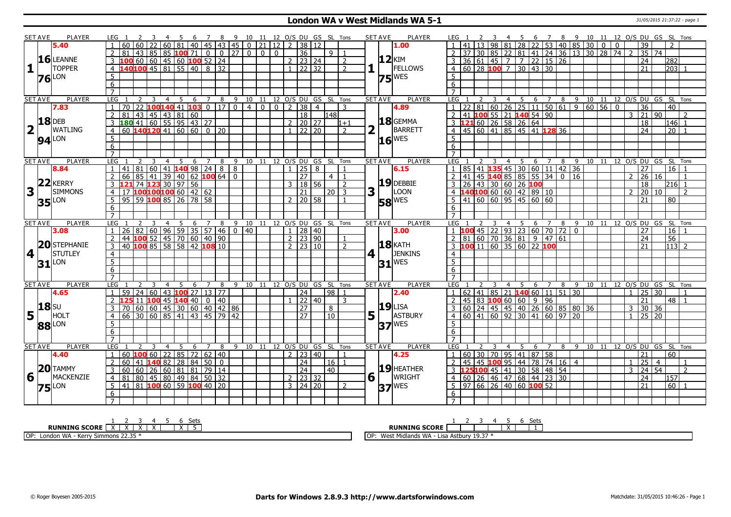### **London WA v West Midlands WA 5-1** 31/05/2015 21:37:22 - page 1

|                | <b>SET AVE</b>       | PLAYER              | LEG 1                                                                                                     |                                                                              | 4 5 6 7 8 9 10 11 12 O/S DU GS SL Tons              |             |                          |                |                                |                              |           |                                    |                |                 |                | SET AVE        |                                | PLAYER              | LEG 1                            |              |                         |                |   |                                                             |                                                |                                 |                                                               |                   |                          |                 | 2 3 4 5 6 7 8 9 10 11 12 O/S DU GS SL Tons |
|----------------|----------------------|---------------------|-----------------------------------------------------------------------------------------------------------|------------------------------------------------------------------------------|-----------------------------------------------------|-------------|--------------------------|----------------|--------------------------------|------------------------------|-----------|------------------------------------|----------------|-----------------|----------------|----------------|--------------------------------|---------------------|----------------------------------|--------------|-------------------------|----------------|---|-------------------------------------------------------------|------------------------------------------------|---------------------------------|---------------------------------------------------------------|-------------------|--------------------------|-----------------|--------------------------------------------|
|                |                      | 5.40                | l 60   60                                                                                                 |                                                                              |                                                     |             |                          |                |                                |                              |           |                                    |                |                 |                |                |                                | 1.00                |                                  |              |                         |                |   |                                                             |                                                |                                 |                                                               |                   | 39                       |                 |                                            |
|                |                      |                     | 81                                                                                                        |                                                                              |                                                     |             |                          |                |                                |                              |           |                                    |                | 9 <sup>1</sup>  |                |                |                                |                     |                                  |              |                         |                |   |                                                             |                                                |                                 |                                                               |                   | 35 74                    |                 |                                            |
|                |                      | $16$ LEANNE         |                                                                                                           |                                                                              |                                                     |             |                          |                |                                |                              |           | $2 \mid 23 \mid 24$                |                |                 | 2              |                |                                | <b>12</b> KIM       |                                  |              |                         |                |   | 3 36 61 45 7 7 22 15 26                                     |                                                |                                 |                                                               |                   | 24                       | 282             |                                            |
|                |                      | <b>TOPPER</b>       | $\overline{4}$                                                                                            | <b>100</b> 60 60 45 60 <b>100</b> 52 24<br><b>140100</b> 45 81 55 40 8 32    |                                                     |             |                          |                |                                |                              |           | $1 \ 22 \ 32$                      |                |                 | $\overline{2}$ |                |                                | FELLOWS             |                                  |              |                         |                |   | $4 \ 60 \ 28 \ 100 \ 7 \ 30 \ 43 \ 30$                      |                                                |                                 |                                                               |                   | 21                       |                 | $203$ 1                                    |
|                |                      | LON                 | 5                                                                                                         |                                                                              |                                                     |             |                          |                |                                |                              |           |                                    |                |                 |                |                |                                | $75$ <sup>WES</sup> | 5                                |              |                         |                |   |                                                             |                                                |                                 |                                                               |                   |                          |                 |                                            |
|                | 76                   |                     | 6                                                                                                         |                                                                              |                                                     |             |                          |                |                                |                              |           |                                    |                |                 |                |                |                                |                     | 6                                |              |                         |                |   |                                                             |                                                |                                 |                                                               |                   |                          |                 |                                            |
|                |                      |                     | $\overline{7}$                                                                                            |                                                                              |                                                     |             |                          |                |                                |                              |           |                                    |                |                 |                |                |                                |                     | $\overline{7}$                   |              |                         |                |   |                                                             |                                                |                                 |                                                               |                   |                          |                 |                                            |
|                | <b>SET AVE</b>       | PLAYER              | <b>LEG</b>                                                                                                | 2<br>3                                                                       | $\overline{4}$                                      | $5^{\circ}$ | 6 7                      |                | 8 9 10 11 12 0/S DU GS SL Tons |                              |           |                                    |                |                 |                | <b>SET AVE</b> |                                | <b>PLAYER</b>       | LEG                              | $\mathbf{2}$ | $\overline{3}$          |                |   |                                                             |                                                |                                 |                                                               |                   |                          |                 | 4 5 6 7 8 9 10 11 12 O/S DU GS SL Tons     |
|                |                      | 7.83                | $\overline{70}$<br>$\overline{1}$                                                                         | 22 100 140 41 103 0 17                                                       |                                                     |             |                          |                | $\overline{\circ}$             | 400238                       |           |                                    | $\overline{4}$ |                 | $\mathcal{R}$  |                |                                | 4.89                |                                  |              |                         |                |   |                                                             |                                                |                                 | $1$   22   81   60   26   25   11   50   61   9   60   56   0 |                   | $\overline{36}$          | 40              |                                            |
|                |                      |                     | 2<br>  81                                                                                                 | 43                                                                           | $\boxed{45}$ $\boxed{43}$ $\boxed{81}$ $\boxed{60}$ |             |                          |                |                                |                              |           | $\overline{18}$                    |                | 148             |                |                |                                |                     |                                  |              |                         |                |   | 2 41 100 55 21 140 54 90                                    |                                                |                                 |                                                               | 3                 | 21                       | $\overline{90}$ | $\mathcal{L}$                              |
|                |                      | $18$ DEB            | $\overline{3}$                                                                                            |                                                                              |                                                     |             |                          |                |                                |                              |           | 2   20   27                        |                |                 | $1 + 1$        |                |                                | $18$ GEMMA          |                                  |              |                         |                |   |                                                             |                                                |                                 |                                                               |                   | 18                       |                 | l146  1                                    |
|                | $2\Gamma$            | <b>WATLING</b>      | $\overline{4}$                                                                                            |                                                                              |                                                     |             |                          |                |                                |                              |           | $1 \overline{22} \overline{20}$    |                |                 | $\overline{2}$ | 2              |                                | BARRETT             |                                  |              |                         |                |   |                                                             |                                                |                                 |                                                               |                   | $\overline{24}$          |                 | $\overline{20}$ 1                          |
|                |                      |                     | 5                                                                                                         |                                                                              |                                                     |             |                          |                |                                |                              |           |                                    |                |                 |                |                |                                |                     | 5                                |              |                         |                |   |                                                             |                                                |                                 |                                                               |                   |                          |                 |                                            |
|                |                      | $94$ <sup>LON</sup> | 6                                                                                                         |                                                                              |                                                     |             |                          |                |                                |                              |           |                                    |                |                 |                |                |                                | $16$ <sup>WES</sup> | 6                                |              |                         |                |   |                                                             |                                                |                                 |                                                               |                   |                          |                 |                                            |
|                |                      |                     |                                                                                                           |                                                                              |                                                     |             |                          |                |                                |                              |           |                                    |                |                 |                |                |                                |                     |                                  |              |                         |                |   |                                                             |                                                |                                 |                                                               |                   |                          |                 |                                            |
|                | <b>SET AVE</b>       | <b>PLAYER</b>       | LEG                                                                                                       | 3                                                                            | $\overline{4}$                                      |             | $5\quad 6\quad 7\quad 8$ |                | 9 10 11 12 O/S DU GS SL Tons   |                              |           |                                    |                |                 |                | <b>SET AVE</b> |                                | <b>PLAYER</b>       | LEG                              |              | $\overline{\mathbf{3}}$ |                |   |                                                             |                                                |                                 |                                                               |                   |                          |                 | 4 5 6 7 8 9 10 11 12 O/S DU GS SL Tons     |
|                |                      | 8.84                |                                                                                                           | 41   81   60   41   <mark>140</mark> 98   24                                 |                                                     |             |                          | $\overline{8}$ | $\overline{8}$                 |                              |           | $\overline{25}$                    | 8              |                 |                |                |                                | 6.15                | $\overline{1}$                   |              |                         |                |   |                                                             | 85   41   135   45   30   60   11   42   36    |                                 |                                                               |                   | $\overline{27}$          | $\overline{16}$ |                                            |
|                |                      |                     |                                                                                                           |                                                                              |                                                     |             |                          |                | $\overline{0}$                 |                              |           | $\overline{27}$                    |                | 4 <sup>1</sup>  | $\overline{1}$ |                |                                |                     |                                  |              |                         |                |   |                                                             |                                                |                                 |                                                               | $\mathcal{P}$     | 26 16                    |                 |                                            |
|                | 22                   | <b>KERRY</b>        | 2 66 85 41 39 40 62 100 64<br>3 121 74 123 30 97 56<br>4 17 100100100 60 42 62<br>5 95 59 100 85 26 78 58 |                                                                              |                                                     |             |                          |                |                                |                              |           | $3 \mid 18 \mid 56$                |                |                 | $\overline{2}$ |                |                                | $19$ DEBBIE         |                                  |              |                         |                |   |                                                             |                                                |                                 |                                                               |                   | $\overline{18}$          |                 | $216$ 1                                    |
|                | $3^{\top}$           | <b>SIMMONS</b>      |                                                                                                           |                                                                              |                                                     |             |                          |                |                                |                              |           | $\overline{21}$                    |                | $\sqrt{20}$ 3   |                | 3              |                                | LOON                |                                  |              |                         |                |   |                                                             |                                                |                                 |                                                               | $\overline{2}$    | 20                       | 10              | $\overline{z}$                             |
|                |                      |                     |                                                                                                           |                                                                              |                                                     |             |                          |                |                                |                              |           | $2 \mid 20 \mid 58$                |                |                 |                |                |                                |                     |                                  |              |                         |                |   |                                                             |                                                |                                 |                                                               |                   | 21                       | 80              |                                            |
|                |                      | <b>35</b> LON       | 6                                                                                                         |                                                                              |                                                     |             |                          |                |                                |                              |           |                                    |                |                 |                |                |                                | <b>58 WES</b>       |                                  |              |                         |                |   |                                                             |                                                |                                 |                                                               |                   |                          |                 |                                            |
|                |                      |                     | $\overline{7}$                                                                                            |                                                                              |                                                     |             |                          |                |                                |                              |           |                                    |                |                 |                |                |                                |                     | 6<br>$\overline{z}$              |              |                         |                |   |                                                             |                                                |                                 |                                                               |                   |                          |                 |                                            |
|                | <b>SET AVE</b>       | <b>PLAYER</b>       | LEG <sub>1</sub>                                                                                          |                                                                              |                                                     |             |                          |                |                                |                              |           |                                    |                |                 |                | <b>SET AVE</b> |                                | <b>PLAYER</b>       | LEG 1                            |              | 2 3                     |                |   |                                                             |                                                |                                 |                                                               |                   |                          |                 | 4 5 6 7 8 9 10 11 12 O/S DU GS SL Tons     |
|                |                      | 3.08                | $\overline{1}$                                                                                            |                                                                              |                                                     |             |                          |                |                                |                              |           |                                    |                |                 |                |                |                                | 3.00                |                                  |              |                         |                |   |                                                             |                                                |                                 |                                                               |                   | 27                       |                 | $16$   1                                   |
|                |                      |                     | $\overline{2}$                                                                                            |                                                                              |                                                     |             |                          |                |                                |                              |           |                                    |                |                 |                |                |                                |                     |                                  |              |                         |                |   |                                                             |                                                |                                 |                                                               |                   | 24                       | 56              |                                            |
|                |                      | 20 STEPHANIE        | 3                                                                                                         |                                                                              |                                                     |             |                          |                |                                |                              |           |                                    |                |                 |                |                |                                | $18$ $KATH$         |                                  |              |                         |                |   |                                                             |                                                |                                 |                                                               |                   | 21                       |                 | $113$ 2                                    |
| 4 <sup>1</sup> |                      | STUTLEY             |                                                                                                           |                                                                              |                                                     |             |                          |                |                                |                              |           |                                    |                |                 |                |                | $4$   $\overline{\phantom{0}}$ | <b>JENKINS</b>      |                                  |              |                         |                |   |                                                             |                                                |                                 |                                                               |                   |                          |                 |                                            |
|                |                      |                     | $\overline{4}$<br>$\overline{5}$                                                                          |                                                                              |                                                     |             |                          |                |                                |                              |           |                                    |                |                 |                |                |                                |                     | $\overline{4}$<br>$\overline{5}$ |              |                         |                |   |                                                             |                                                |                                 |                                                               |                   |                          |                 |                                            |
|                |                      | $31$ <sup>LON</sup> |                                                                                                           |                                                                              |                                                     |             |                          |                |                                |                              |           |                                    |                |                 |                |                |                                | $31$ <sup>WES</sup> | 6                                |              |                         |                |   |                                                             |                                                |                                 |                                                               |                   |                          |                 |                                            |
|                |                      |                     | $6\overline{6}$<br>$\overline{7}$                                                                         |                                                                              |                                                     |             |                          |                |                                |                              |           |                                    |                |                 |                |                |                                |                     | $\overline{7}$                   |              |                         |                |   |                                                             |                                                |                                 |                                                               |                   |                          |                 |                                            |
|                | <b>SET AVE</b>       | <b>PLAYER</b>       | <b>LEG</b>                                                                                                | 2                                                                            |                                                     |             |                          |                | 9                              | 10 11                        | 12 O/S DU |                                    | GS SL Tons     |                 |                | <b>SET AVE</b> |                                | <b>PLAYER</b>       | <b>LEG</b>                       |              |                         |                | 5 | 6                                                           |                                                |                                 |                                                               |                   |                          |                 | 8 9 10 11 12 O/S DU GS SL Tons             |
|                |                      | 4.65                | $\overline{1}$                                                                                            | 59 24 60 43 100 27 13 77                                                     | $\overline{4}$                                      | 5<br>6      |                          | 8              |                                |                              |           | $\overline{24}$                    |                | 98 1            |                |                |                                | 2.40                |                                  |              |                         | $\overline{4}$ |   | 7                                                           | $1   62   41   85   21$ <b>140</b> 60 11 51 30 |                                 |                                                               | $\mathbf{1}$      | 25 30                    |                 |                                            |
|                |                      |                     | 2                                                                                                         |                                                                              |                                                     |             |                          |                |                                |                              |           | $1 \mid 22 \mid 40$                |                |                 | 3              |                |                                |                     | 2                                |              |                         |                |   | $ 45 83$ 100 60 60 9 96                                     |                                                |                                 |                                                               |                   | 21                       |                 | $48$   1                                   |
|                |                      |                     | $\overline{3}$                                                                                            | <b>125</b> 11 <b>100</b> 45 <b>140</b> 40 0 40<br>70 60 60 45 30 60 40 42 86 |                                                     |             |                          |                |                                |                              |           | $\overline{27}$                    |                | 8               |                |                |                                | $19$ LISA           |                                  |              |                         |                |   |                                                             |                                                | 3 60 24 45 45 40 26 60 85 80 36 |                                                               | 3                 | 30 36                    |                 |                                            |
|                | $5\frac{ 18 }{ }$ HO | HOLT                | $\overline{4}$                                                                                            | $\frac{1}{66}$ 30 60 85 41 43 45 79 42                                       |                                                     |             |                          |                |                                |                              |           | $\overline{27}$                    |                | $\overline{10}$ |                |                | $5\vert$ <sup>T</sup>          | ASTBURY             |                                  |              |                         |                |   |                                                             | $\frac{1}{4}$ 60 41 60 92 30 41 60 97 20       |                                 |                                                               | $\overline{1}$    | $25 \mid 20$             |                 |                                            |
|                |                      |                     | 5                                                                                                         |                                                                              |                                                     |             |                          |                |                                |                              |           |                                    |                |                 |                |                |                                |                     | 5 <sup>1</sup>                   |              |                         |                |   |                                                             |                                                |                                 |                                                               |                   |                          |                 |                                            |
|                |                      | <b>88</b> LON       |                                                                                                           |                                                                              |                                                     |             |                          |                |                                |                              |           |                                    |                |                 |                |                |                                | $37$ <sup>WES</sup> |                                  |              |                         |                |   |                                                             |                                                |                                 |                                                               |                   |                          |                 |                                            |
|                |                      |                     | 6                                                                                                         |                                                                              |                                                     |             |                          |                |                                |                              |           |                                    |                |                 |                |                |                                |                     | 6                                |              |                         |                |   |                                                             |                                                |                                 |                                                               |                   |                          |                 |                                            |
|                |                      | PLAYER              | <b>LEG</b>                                                                                                | 3                                                                            | $\overline{4}$                                      | 5           | $\overline{7}$           | 8              |                                | 9 10 11 12 O/S DU GS SL Tons |           |                                    |                |                 |                |                | <b>SET AVE</b>                 | <b>PLAYER</b>       | LEG                              |              |                         |                |   |                                                             |                                                |                                 |                                                               |                   |                          |                 | 8 9 10 11 12 0/S DU GS SL Tons             |
|                | <b>SET AVE</b>       |                     |                                                                                                           | 60 <b>100</b> 60 22 85 72 62 40                                              |                                                     | 6           |                          |                |                                |                              |           | $2 \mid 23 \mid 40$                |                |                 |                |                |                                | 4.25                |                                  |              |                         | $\overline{4}$ | 5 | 6<br>$\overline{7}$<br>  60   30   70   95   41   87   58   |                                                |                                 |                                                               |                   | 21                       | 60              |                                            |
|                |                      | 4.40                |                                                                                                           |                                                                              |                                                     |             |                          |                |                                |                              |           |                                    |                |                 |                |                |                                |                     |                                  |              |                         |                |   |                                                             | 2 45 45 100 95 44 78 74 16 4                   |                                 |                                                               |                   |                          |                 |                                            |
|                |                      | $20$ TAMMY          | $\overline{2}$<br>60 41                                                                                   |                                                                              | $14082$ 28 84 50 0                                  |             |                          |                |                                |                              |           | $\overline{24}$<br>$\overline{24}$ |                | 16 1            |                |                |                                | $19$ HEATHER        |                                  |              |                         |                |   | 3 125100 45 41 30 58 48 54                                  |                                                |                                 |                                                               | $\mathbf{1}$<br>3 | 25<br>$\overline{24}$ 54 | $\overline{4}$  | $\mathcal{L}$                              |
|                |                      | MACKENZIE           | $\overline{3}$                                                                                            |                                                                              |                                                     |             |                          |                |                                |                              |           |                                    |                | 40              |                |                |                                |                     |                                  |              |                         |                |   |                                                             |                                                |                                 |                                                               |                   |                          |                 |                                            |
|                | 6 1                  |                     | 4 81 80 45 80 49 84 50 32<br>5 41 81 <b>100</b> 60 59 <b>100</b> 40 20                                    |                                                                              |                                                     |             |                          |                |                                |                              |           | $2 \mid 23 \mid 32$                |                |                 |                |                | $6\vert\bar{1}\vert$           | <b>WRIGHT</b>       |                                  |              |                         |                |   | 4 60 26 46 47 68 44 23 30<br>5 97 66 26 40 60 <b>100</b> 52 |                                                |                                 |                                                               |                   | $\overline{24}$          | 157             |                                            |
|                | 75                   | LON                 |                                                                                                           |                                                                              |                                                     |             |                          |                |                                |                              |           | $3 \mid 24 \mid 20$                |                |                 | $\overline{2}$ |                |                                | $37$ <sup>WES</sup> |                                  |              |                         |                |   |                                                             |                                                |                                 |                                                               |                   | 21                       |                 | $\overline{60}$ 1                          |
|                |                      |                     | 6                                                                                                         |                                                                              |                                                     |             |                          |                |                                |                              |           |                                    |                |                 |                |                |                                |                     | 6                                |              |                         |                |   |                                                             |                                                |                                 |                                                               |                   |                          |                 |                                            |
|                |                      |                     | $\overline{7}$                                                                                            |                                                                              |                                                     |             |                          |                |                                |                              |           |                                    |                |                 |                |                |                                |                     | $7^{\circ}$                      |              |                         |                |   |                                                             |                                                |                                 |                                                               |                   |                          |                 |                                            |

| <b>Setr</b><br>ししい                                                  | Set:                                                  |
|---------------------------------------------------------------------|-------------------------------------------------------|
| <b>,SCORF</b><br><b>RUNNING</b><br>$\ddot{\phantom{1}}$             | <b>RUNNING SCORE</b>                                  |
| 22.25<br>OP:<br>. 101A<br>- Kerr<br>$\sim$ mmons 22.3.<br>London WA | and Astbury 19.27<br>udlands WA<br>.OP<br>Wes<br>ى رو |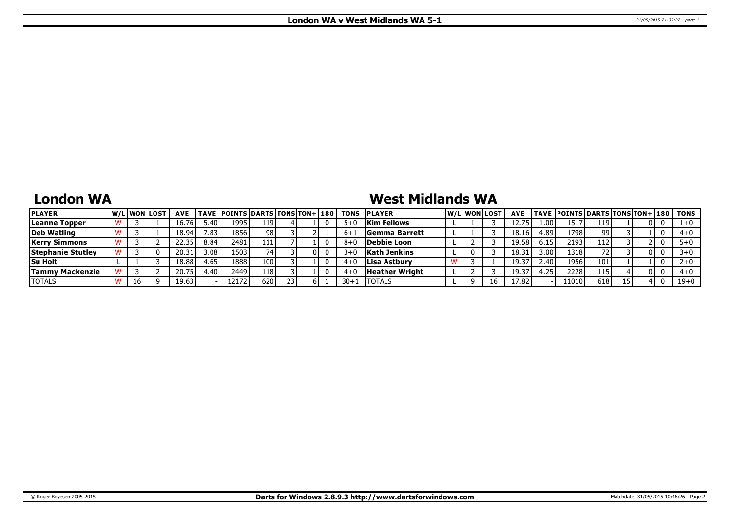## **London WA**

# **West Midlands WA**

| <b>PLAYER</b>            |    | <b>W/Liwonilost</b> | <b>AVE</b> |      | TAVE POINTS DARTS TONS TON+ 180 |     |  | <b>TONS</b> | <b>IPLAYER</b>        |  | W/Liwonilost | <b>AVE</b> |                   | <b>TAVE POINTS DARTS TONS TON+ 180</b> |     |     | TONS     |
|--------------------------|----|---------------------|------------|------|---------------------------------|-----|--|-------------|-----------------------|--|--------------|------------|-------------------|----------------------------------------|-----|-----|----------|
| Leanne Topper            |    |                     | 16.76      | 5.40 | 1995                            | 119 |  | 5+          | <b>Kim Fellows</b>    |  |              |            | 1.00 <sub>1</sub> | 1517                                   | 119 | 0 I |          |
| Deb Watling              |    |                     | 18.94      | 7.83 | 1856                            | 98  |  |             | <b>Semma Barrett</b>  |  |              | 18.16      | 4.89              | 17981                                  | 99  |     | $4 + 0$  |
| <b>Kerry Simmons</b>     |    |                     | 22.35      | 8.84 | 2481                            | 111 |  | $8 + 1$     | Debbie Loon           |  |              | 19.58      | 6.15              | 2193                                   | 112 |     |          |
| <b>Stephanie Stutley</b> |    |                     | 20.31      | 3.08 | 1503                            | 74  |  | 3∓          | <b>Kath Jenkins</b>   |  |              | 18.3       | 3.00              | 1318                                   | 72. | 0 I |          |
| <b>Su Holt</b>           |    |                     | 18.88      | 4.65 | 1888                            | 100 |  | $4 +$       | Lisa Astbury          |  |              | 19.37      | 2.40              | 1956                                   | 101 |     |          |
| <b>Tammy Mackenzie</b>   |    |                     | 20.75      | 4.40 | 2449                            | 118 |  | $4 +$       | <b>Heather Wright</b> |  |              | $19.3^{-}$ | .25               | 2228                                   | 115 | 0 L | $4 + 0$  |
| <b>TOTALS</b>            | 16 |                     | 19.63      |      | 12172'                          | 620 |  | $30 + 1$    | <b>ITOTALS</b>        |  |              | 17.82      |                   | 11010'                                 | 618 |     | $19 + 0$ |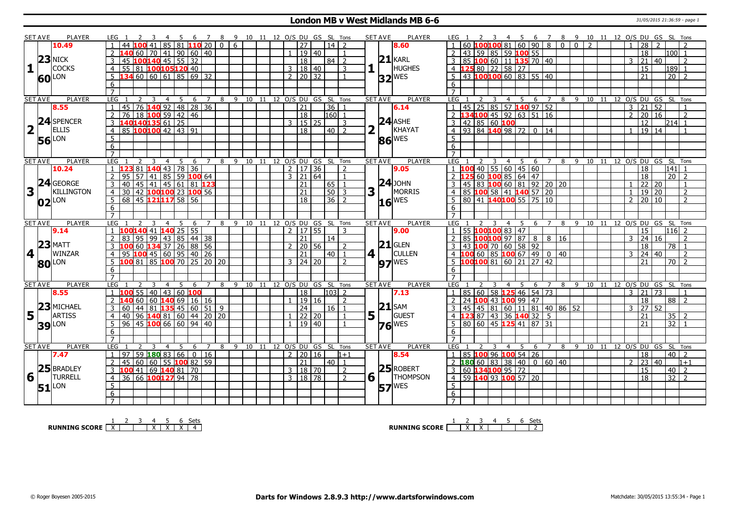#### **London MB v West Midlands MB 6-6** 31/05/2015 21:36:59 - page 1

|                         | <b>SET AVE</b> | <b>PLAYER</b>       | LEG 1                                                                             | 4 5 6 7 8 9 10 11 12 O/S DU GS SL Tons        |                |                                |  |                              |         |                   |                | <b>SET AVE</b> | <b>PLAYER</b>       | 2 3 4 5 6 7 8 9 10 11 12 O/S DU GS SL Tons<br>LEG 1                                                                               |  |
|-------------------------|----------------|---------------------|-----------------------------------------------------------------------------------|-----------------------------------------------|----------------|--------------------------------|--|------------------------------|---------|-------------------|----------------|----------------|---------------------|-----------------------------------------------------------------------------------------------------------------------------------|--|
|                         |                | 10.49               | 100 41                                                                            | $85$ $81$ $110$ $20$ $\overline{\phantom{1}}$ |                | 6<br>$\Omega$                  |  | 27                           |         | 14   2            |                |                | 8.60                | 60   100   100   81   60   90   8<br>$\overline{0}$<br>$\overline{0}$<br>$\overline{2}$<br>28<br>$\overline{2}$<br>$\overline{1}$ |  |
|                         |                |                     | <mark>L40</mark> 60   70   41   90   60   40                                      |                                               |                |                                |  |                              | 19   40 |                   |                |                |                     | 43   59   85   59 <b>100</b> 55  <br>18<br>l100l 1                                                                                |  |
|                         |                | $23$ NICK           | 45                                                                                | $100140$ 45 55 32                             |                |                                |  | $\overline{18}$              |         | l 84 l            | $\overline{2}$ |                | $21$ <b>KARL</b>    | $3   85   100   60   11   135   70   40$<br>21<br>40<br>3<br>2                                                                    |  |
| $\mathbf{1}$            |                | <b>COCKS</b>        | 55 81 100 105 120 40<br>$\overline{4}$                                            |                                               |                |                                |  | 3   18   40                  |         |                   | $\overline{3}$ |                | <b>HUGHES</b>       | 4 125 80 22 58 27<br>15<br>$189$ 1                                                                                                |  |
|                         |                |                     | 134606061856932<br>5                                                              |                                               |                |                                |  | $2 \mid 20 \mid 32$          |         |                   | $\mathbf{1}$   |                |                     | $5   43   100   100   60   83   55   40$<br>$20 \mid 2$<br>21                                                                     |  |
|                         |                | <b>60</b> LON       | 6                                                                                 |                                               |                |                                |  |                              |         |                   |                |                | $32$ <sup>WES</sup> | 6                                                                                                                                 |  |
|                         |                |                     | $\overline{7}$                                                                    |                                               |                |                                |  |                              |         |                   |                |                |                     | $\overline{7}$                                                                                                                    |  |
|                         | <b>SET AVE</b> | <b>PLAYER</b>       | LEG<br>2<br>3                                                                     | $\overline{4}$<br>5                           | 6 7            | 8 9 10 11 12 0/S DU GS SL Tons |  |                              |         |                   |                | <b>SET AVE</b> | <b>PLAYER</b>       | LEG<br>8 9 10 11 12 O/S DU GS SL Tons<br>2<br>$\overline{3}$<br>4 5 6 7                                                           |  |
|                         |                | 8.55                | 45<br>$\mathbf{1}$                                                                | 76 <b>140</b> 92 48 28 36                     |                |                                |  | $\overline{21}$              |         | 36                | -1             |                | 6.14                | 45   25   85   57 <b>140</b> 97   52<br>$\overline{3}$<br>$\overline{21}$<br>52<br>$\overline{1}$                                 |  |
|                         |                |                     | 76 18 100 59 42 46<br>$\mathcal{P}$                                               |                                               |                |                                |  | $\overline{18}$              |         | $160$ 1           |                |                |                     | 2 134100 45 92 63 51 16<br>20 16<br>$\overline{2}$<br>$\overline{2}$                                                              |  |
|                         |                | 24 SPENCER          | 140140135 61 25<br>$\overline{3}$                                                 |                                               |                |                                |  | २                            | $15$ 25 |                   | 3              |                | $24$ ASHE           | 3   42   85   60   100<br>12<br>214 1                                                                                             |  |
| $\overline{\mathbf{2}}$ | $\mathbf{I}$   | <b>ELLIS</b>        | 85 100100 42 43 91                                                                |                                               |                |                                |  | $\overline{18}$              |         |                   |                |                | KHAYAT              | 4 93 84 140 98 72 0 14<br>$\boxed{19}$ $\boxed{14}$                                                                               |  |
|                         |                |                     | $\overline{4}$                                                                    |                                               |                |                                |  |                              |         | $40$   2          |                |                |                     | $\overline{1}$                                                                                                                    |  |
|                         |                | <b>56</b> LON       | $5\overline{)}$                                                                   |                                               |                |                                |  |                              |         |                   |                |                | 86 WES              | 5                                                                                                                                 |  |
|                         |                |                     | 6                                                                                 |                                               |                |                                |  |                              |         |                   |                |                |                     | 6                                                                                                                                 |  |
|                         |                |                     | $\overline{7}$                                                                    |                                               |                |                                |  |                              |         |                   |                |                |                     |                                                                                                                                   |  |
|                         | <b>SET AVE</b> | <b>PLAYER</b>       | LEG<br>3                                                                          | 5<br>$\overline{4}$<br>6                      | $7^{\circ}$    | 8                              |  | 9 10 11 12 O/S DU GS SL Tons |         |                   |                | <b>SET AVE</b> | <b>PLAYER</b>       | 4 5 6 7 8 9 10 11 12 O/S DU GS SL Tons<br>LEG<br>$\overline{3}$<br>2                                                              |  |
|                         |                | 10.24               | <b>123</b> 81 <b>140</b> 43 78 36                                                 |                                               |                |                                |  | $2 \mid 17 \mid 36$          |         |                   | $\overline{2}$ |                | 9.05                | $1 \overline{100}$ 40 55 60 45 60<br>18<br>$\vert 141 \vert \, 1$                                                                 |  |
|                         |                |                     | $\overline{2}$<br>95                                                              |                                               |                |                                |  | $3 \ 21 \ 64$                |         |                   | $\overline{1}$ |                |                     | 2 125 60 100 85 64 47<br>$\overline{20}$   2<br>$\overline{18}$                                                                   |  |
|                         |                | 24 GEORGE           | $\overline{3}$<br>40                                                              |                                               |                |                                |  | 21                           |         | 65 1              |                |                | $24$ JOHN           | <u>3</u> 45 83 <b>100</b> 60 81 92 20 20<br>4 85 <b>100</b> 58 41 <b>140</b> 57 20<br>22 20<br>$\overline{1}$<br>$\mathbf{1}$     |  |
| 3                       |                | KILLINGTON          | 30<br>$\overline{4}$                                                              | 42 100 100 23 100 56                          |                |                                |  | $\overline{21}$              |         | $\overline{50}$ 3 |                | $\mathbf{3}$   | MORRIS              | $19$ 20<br>$\overline{z}$<br>$\overline{1}$                                                                                       |  |
|                         |                | $02$ <sup>LON</sup> | 68 45 121117 58 56<br>5 <sup>7</sup>                                              |                                               |                |                                |  | 18                           |         | $36$   2          |                |                | $16$ <sup>WES</sup> | $5   80   41   140   100   55   75   10$<br>20 10<br>$\overline{2}$<br>$\overline{2}$                                             |  |
|                         |                |                     | 6                                                                                 |                                               |                |                                |  |                              |         |                   |                |                |                     | 6                                                                                                                                 |  |
|                         |                |                     | $\overline{7}$                                                                    |                                               |                |                                |  |                              |         |                   |                |                |                     |                                                                                                                                   |  |
|                         | <b>SET AVE</b> | <b>PLAYER</b>       | LEG 1<br>3                                                                        | 5<br>$\overline{4}$<br>6                      | $\overline{7}$ | 8                              |  | 9 10 11 12 O/S DU GS SL Tons |         |                   |                | <b>SET AVE</b> | <b>PLAYER</b>       | <b>LEG</b><br>9 10 11 12 O/S DU GS SL Tons<br>8<br>$\overline{4}$<br>- 5<br>6<br>$\overline{7}$                                   |  |
|                         |                | 9.14                | 100140 41 140 25 55                                                               |                                               |                |                                |  | $2 \mid 17 \mid 55$          |         |                   | 3              |                | 9.00                | 55 100100 83 47<br>15<br> 116 2<br>$\overline{1}$                                                                                 |  |
|                         |                |                     |                                                                                   |                                               |                |                                |  |                              |         |                   |                |                |                     |                                                                                                                                   |  |
|                         |                |                     | 83   95   99                                                                      | 43 85 44 38                                   |                |                                |  | 21                           |         | 14                |                |                |                     | $85$ 100100 97 87 8 8<br>$\overline{24}$<br>16<br>3<br>16<br>$\overline{2}$                                                       |  |
|                         |                | $23$ MATT           | 3                                                                                 |                                               |                |                                |  | $2 \mid 20 \mid 56$          |         |                   | $\overline{2}$ |                | $21$ GLEN           | 43 100 70 60 58 92<br>$\overline{78}$ 1<br>18                                                                                     |  |
|                         | 4              | WINZAR              | $\overline{4}$                                                                    |                                               |                |                                |  | 21                           |         | 40   1            |                | $4$            | <b>CULLEN</b>       | 4 100 60 85 100 67 49 0<br>24 40<br>40<br>3<br>$\overline{2}$                                                                     |  |
|                         |                |                     | 5                                                                                 |                                               |                |                                |  | $3 \mid 24 \mid 20$          |         |                   | $\overline{2}$ |                |                     | 21<br>$\overline{70}$   2                                                                                                         |  |
|                         |                | <b>80</b> LON       | 100 60 134 37 26 88 56<br>95 100 45 60 95 40 26<br>100 81 85 100 70 25 20 20<br>6 |                                               |                |                                |  |                              |         |                   |                |                | $97$ <sup>WES</sup> | $\overline{5}$ 100100 81 60 21 27 42<br>6                                                                                         |  |
|                         |                |                     | $\overline{7}$                                                                    |                                               |                |                                |  |                              |         |                   |                |                |                     | $\overline{7}$                                                                                                                    |  |
|                         | <b>SET AVE</b> | <b>PLAYER</b>       | LEG<br>3                                                                          | -5<br>6<br>$\overline{4}$                     | $\overline{7}$ | 8                              |  | 9 10 11 12 O/S DU GS SL Tons |         |                   |                | <b>SET AVE</b> | <b>PLAYER</b>       | <b>LEG</b><br>8 9 10 11 12 O/S DU GS SL Tons<br>$\overline{4}$<br>- 5<br>6<br>$\overline{7}$                                      |  |
|                         |                | 8.55                | 55<br> 40                                                                         | 43<br>$ 60 $ 100                              |                |                                |  | 18                           |         | 103 2             |                |                | 7.13                | 85   60   58   125 46   54   73<br> 21 <br>$\overline{73}$<br>3<br>$\overline{1}$<br>$\overline{1}$                               |  |
|                         |                |                     | $\overline{2}$<br>60<br>60                                                        | $140$ 69 16 16                                |                |                                |  | 1   19   16                  |         |                   | $\overline{2}$ |                |                     | $2$ 24 100 43 100 99 47<br>18<br>$88$   2                                                                                         |  |
|                         |                | 23 MICHAEL          | 3<br>60                                                                           |                                               |                |                                |  | 24                           |         | 16 <sup>1</sup>   |                |                | $21$ SAM            | $\overline{3}$<br> 27 52                                                                                                          |  |
|                         | l L            | <b>ARTISS</b>       | 40<br>$\overline{4}$                                                              | $ 44 81 $ 135 45 60 51 9                      |                |                                |  |                              |         |                   |                |                |                     | $3   45   45   81   60   11   81   40   86   52$                                                                                  |  |
| 5 <sup>1</sup>          |                |                     | 5 <sup>1</sup>                                                                    | $96$ <b>140</b> 81 60 44 20 20                |                |                                |  |                              | $22$ 20 |                   |                | 5              | GUEST               | <b>23</b> 87 43 36 <b>140</b> 32 5<br>35<br>21<br>$\overline{21}$                                                                 |  |
|                         |                | <b>39</b> LON       | $96$ 45 100 66 60 94 40                                                           |                                               |                |                                |  | 1   19   40                  |         |                   |                |                | $76$ <sup>WES</sup> | 5   80   60   45   125   41   87   31<br>32                                                                                       |  |
|                         |                |                     | 6                                                                                 |                                               |                |                                |  |                              |         |                   |                |                |                     | 6<br>$\overline{7}$                                                                                                               |  |
|                         |                |                     |                                                                                   | 5<br>$\overline{4}$<br>6                      | $\overline{7}$ | 8                              |  |                              |         |                   |                |                |                     | $\overline{4}$<br>8<br>5.<br>- 6                                                                                                  |  |
|                         | <b>SET AVE</b> | PLAYER              | LEG                                                                               |                                               |                |                                |  | 9 10 11 12 0/S DU GS SL Tons |         |                   |                | <b>SET AVE</b> | <b>PLAYER</b>       | 11 12 0/S DU GS SL Tons<br>LEG<br>9 10                                                                                            |  |
|                         |                | 7.47                | $59$ 180 83 66<br>$\mathbf{1}$<br>97                                              |                                               | $0$ 116        |                                |  | 2 20 16                      |         |                   | $1 + 1$        |                | 8.54                | 85 100 96 100 54 26<br>18<br>$40$   2<br>$\cdot$ 1                                                                                |  |
|                         |                |                     | $\overline{2}$<br>45                                                              | 60   60   55   <mark>100</mark> 82   59       |                |                                |  | 21                           |         | $40$   1          |                |                |                     | 2 <b>180</b> 60 83 38 40 0 60 40<br>$\overline{23}$<br>40<br>2<br>$1+1$                                                           |  |
|                         |                | 25 BRADLEY          | 100 41 69 140 81 70<br>$\mathbf{3}$                                               |                                               |                |                                |  | 3   18   70                  |         |                   | 2              |                | $25$ ROBERT         | 3 60 134100 95 72<br>15<br>$40\overline{2}$                                                                                       |  |
| 6                       |                | <b>TURRELL</b>      | 36 66 100 127 94 78<br>$\overline{4}$                                             |                                               |                |                                |  | $3 \mid 18 \mid 78$          |         |                   | $\overline{2}$ | 6 1            | <b>THOMPSON</b>     | $4$ 59 140 93 100 57 20<br>$\overline{32}$<br>18<br>$\overline{2}$                                                                |  |
|                         |                | $51$ <sup>LON</sup> | 5                                                                                 |                                               |                |                                |  |                              |         |                   |                |                | <b>57 WES</b>       | 5 <sub>5</sub>                                                                                                                    |  |
|                         |                |                     | 6<br>$7^{\circ}$                                                                  |                                               |                |                                |  |                              |         |                   |                |                |                     | $6\overline{6}$<br>$7^{\circ}$                                                                                                    |  |

**RUNNING SCORE**  $\begin{array}{|c|c|c|c|c|}\n\hline\n & 1 & 2 & 3 & 4 & 5 & 6 & \text{Sets} \\
\hline\n\end{array}$ 

**RUNNING SCORE** | <u>X | X | X | | | | 2</u><br>2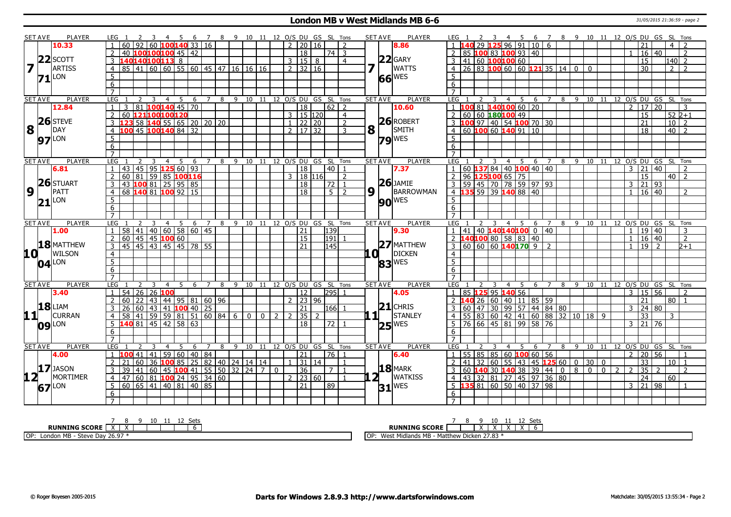#### **London MB v West Midlands MB 6-6** 31/05/2015 21:36:59 - page 2

|                 | <b>SET AVE</b> | <b>PLAYER</b>       | LEG <sub>1</sub> |                                  |                 |                | 5                                                                |                |   | 6 7 8 9 10 11 12 O/S DU GS SL Tons |              |              |   |                      |                 |   |                              |                |                | <b>SET AVE</b><br><b>PLAYER</b> | LEG 1                                                                |                         | $\overline{4}$ | 5   |                     |                |    |    |    |    |                |                     | 6 7 8 9 10 11 12 O/S DU GS SL Tons |                |
|-----------------|----------------|---------------------|------------------|----------------------------------|-----------------|----------------|------------------------------------------------------------------|----------------|---|------------------------------------|--------------|--------------|---|----------------------|-----------------|---|------------------------------|----------------|----------------|---------------------------------|----------------------------------------------------------------------|-------------------------|----------------|-----|---------------------|----------------|----|----|----|----|----------------|---------------------|------------------------------------|----------------|
|                 |                | 10.33               |                  | 60 92 60 <b>100 140</b> 33 16    |                 |                |                                                                  |                |   |                                    |              |              |   | $2 \mid 20 \mid 16$  |                 |   |                              | $\overline{2}$ |                | 8.86                            |                                                                      |                         |                |     | $29$ 125 96 91 10 6 |                |    |    |    |    |                | 21                  | 4   2                              |                |
|                 |                |                     | 2                | 40                               |                 |                | $100100100$ 45   42                                              |                |   |                                    |              |              |   |                      | $\overline{18}$ |   | 74   3                       |                |                |                                 | 85 100 83 100 93 40                                                  |                         |                |     |                     |                |    |    |    |    |                | $16 \mid 40$        | $\overline{z}$                     |                |
|                 |                | $22$ SCOTT          | 3                | 140140100113                     |                 |                | $\overline{8}$                                                   |                |   |                                    |              |              |   | 3   15   8           |                 |   |                              | $\overline{4}$ |                | $22$ GARY                       | 3 41 60 <b>100100</b> 60                                             |                         |                |     |                     |                |    |    |    |    |                | $\overline{15}$     | 140 2                              |                |
|                 |                | <b>ARTISS</b>       | $\overline{4}$   | 85 41 60 60 55 60 45 47 16 16 16 |                 |                |                                                                  |                |   |                                    |              |              |   | $2 \mid 32 \mid 16$  |                 |   |                              |                |                | <b>WATTS</b>                    | $26 83 $ 100 60 60 121 35 14 0 0<br>4 <sup>1</sup>                   |                         |                |     |                     |                |    |    |    |    |                | $\overline{30}$     | 2 <sup>1</sup>                     |                |
|                 |                | $71$ <sup>LON</sup> | 5                |                                  |                 |                |                                                                  |                |   |                                    |              |              |   |                      |                 |   |                              |                |                | $66$ WES                        | 5                                                                    |                         |                |     |                     |                |    |    |    |    |                |                     |                                    |                |
|                 |                |                     | 6                |                                  |                 |                |                                                                  |                |   |                                    |              |              |   |                      |                 |   |                              |                |                |                                 | 6                                                                    |                         |                |     |                     |                |    |    |    |    |                |                     |                                    |                |
|                 |                |                     | $\overline{7}$   |                                  |                 |                |                                                                  |                |   |                                    |              |              |   |                      |                 |   |                              |                |                |                                 | $\overline{7}$                                                       |                         |                |     |                     |                |    |    |    |    |                |                     |                                    |                |
|                 | <b>SET AVE</b> | <b>PLAYER</b>       | LEG              |                                  | 3               | $\overline{4}$ | 5<br>6                                                           |                | 8 |                                    |              |              |   |                      |                 |   | 9 10 11 12 O/S DU GS SL Tons |                | <b>SET AVE</b> | <b>PLAYER</b>                   | LEG<br>2                                                             | 3                       | $\overline{4}$ | - 5 | 6                   |                |    |    |    |    |                |                     | 8 9 10 11 12 0/S DU GS SL Tons     |                |
|                 |                | 12.84               | $\mathbf{1}$     | $\overline{81}$<br>3             |                 |                | $100140$ 45 70                                                   |                |   |                                    |              |              |   |                      | $\overline{18}$ |   |                              |                |                | 10.60                           | $1 \overline{100} 81 \overline{140} 100 \overline{60} \overline{20}$ |                         |                |     |                     |                |    |    |    |    | $\mathcal{P}$  | 17 20               | $\mathcal{R}$                      |                |
|                 |                |                     | $\overline{2}$   | 60 121100100120                  |                 |                |                                                                  |                |   |                                    |              |              |   | $3 \mid 15 \mid 120$ |                 |   |                              | $\overline{4}$ |                |                                 | 2   60   60   180   100   49                                         |                         |                |     |                     |                |    |    |    |    |                | $\overline{15}$     | $52\;2+1$                          |                |
|                 |                | $26$ STEVE          | 3                |                                  |                 |                | 58 <b>140</b> 55 65 20 20 20                                     |                |   |                                    |              |              |   | $1 \ 22 \ 20$        |                 |   |                              | 2              |                | $26$ ROBERT                     | 3 <b>100</b> 97 40 54 <b>100</b> 70 30                               |                         |                |     |                     |                |    |    |    |    |                | $\overline{21}$     | $10$   2                           |                |
| 8               | $\mathbf{1}$   | DAY                 | $\overline{4}$   | 100 45 100 140 84 32             |                 |                |                                                                  |                |   |                                    |              |              |   | $2 \mid 17 \mid 32$  |                 |   |                              | 3              | 8              | SMITH                           | $4 60 $ 100 60 140 91 10                                             |                         |                |     |                     |                |    |    |    |    |                | $\overline{18}$     | $40$   2                           |                |
|                 |                |                     | $\overline{5}$   |                                  |                 |                |                                                                  |                |   |                                    |              |              |   |                      |                 |   |                              |                |                |                                 | 5                                                                    |                         |                |     |                     |                |    |    |    |    |                |                     |                                    |                |
|                 |                | $97$ <sup>LON</sup> | 6                |                                  |                 |                |                                                                  |                |   |                                    |              |              |   |                      |                 |   |                              |                |                | $79$ <sup>WES</sup>             | 6                                                                    |                         |                |     |                     |                |    |    |    |    |                |                     |                                    |                |
|                 |                |                     | $\overline{7}$   |                                  |                 |                |                                                                  |                |   |                                    |              |              |   |                      |                 |   |                              |                |                |                                 |                                                                      |                         |                |     |                     |                |    |    |    |    |                |                     |                                    |                |
|                 | <b>SET AVE</b> | <b>PLAYER</b>       | LEG              |                                  |                 | $\overline{4}$ | 5<br>6                                                           |                | 8 |                                    |              |              |   |                      |                 |   | 9 10 11 12 O/S DU GS SL Tons |                |                | <b>SET AVE</b><br><b>PLAYER</b> | LEG                                                                  | $\overline{\mathbf{3}}$ |                |     | 4 5 6 7             |                |    |    |    |    |                |                     | 8 9 10 11 12 0/S DU GS SL Tons     |                |
|                 |                | 6.81                |                  | 43 45 95 125 60 93               |                 |                |                                                                  |                |   |                                    |              |              |   |                      | 18              |   | 40 l                         |                |                | 7.37                            | 60   137 84   40   100   40   40                                     |                         |                |     |                     |                |    |    |    |    | 3              | 21 40               |                                    | $\overline{2}$ |
|                 |                |                     | $\overline{2}$   | 60<br>  81                       | $\overline{59}$ |                | 85 100 116                                                       |                |   |                                    |              |              |   | 3   18   116         |                 |   |                              | $\overline{z}$ |                |                                 | 2 96 125100 65 75                                                    |                         |                |     |                     |                |    |    |    |    |                | 15                  | $40 \mid 2$                        |                |
|                 |                | $26$ STUART         | 3                | 43 100 81 25 95 85               |                 |                |                                                                  |                |   |                                    |              |              |   |                      | 18              |   | $\sqrt{72}$ 1                |                |                | $26$ JAMIE                      | 3   59   45   70   78   59   97   93                                 |                         |                |     |                     |                |    |    |    |    |                | $3 \mid 21 \mid 93$ |                                    |                |
| $\overline{9}$  | LΓ             | PATT                | $\overline{4}$   | 68                               |                 |                | 1408110092115                                                    |                |   |                                    |              |              |   |                      | $\overline{18}$ |   | $5 \mid 2$                   |                | 9 1            | BARROWMAN                       | 4 135 59 39 140 88 40                                                |                         |                |     |                     |                |    |    |    |    | $\mathbf{1}$   | $16 \mid 40$        |                                    | $\mathcal{L}$  |
|                 |                |                     | 5                |                                  |                 |                |                                                                  |                |   |                                    |              |              |   |                      |                 |   |                              |                |                |                                 | 5.                                                                   |                         |                |     |                     |                |    |    |    |    |                |                     |                                    |                |
|                 |                | $21$ <sup>LON</sup> | $\overline{6}$   |                                  |                 |                |                                                                  |                |   |                                    |              |              |   |                      |                 |   |                              |                |                | <b>90 WES</b>                   | 6                                                                    |                         |                |     |                     |                |    |    |    |    |                |                     |                                    |                |
|                 |                |                     | $\overline{7}$   |                                  |                 |                |                                                                  |                |   |                                    |              |              |   |                      |                 |   |                              |                |                |                                 | $\overline{7}$                                                       |                         |                |     |                     |                |    |    |    |    |                |                     |                                    |                |
|                 |                |                     |                  |                                  |                 | $\overline{4}$ | -5<br>- 6                                                        | $\overline{7}$ | 8 | 9 10 11 12 O/S DU GS SL Tons       |              |              |   |                      |                 |   |                              |                | <b>SET AVE</b> | <b>PLAYER</b>                   | LEG                                                                  |                         |                | 4 5 |                     | 6 7            | 89 |    |    |    |                |                     | 10 11 12 0/S DU GS SL Tons         |                |
|                 |                |                     |                  |                                  |                 |                |                                                                  |                |   |                                    |              |              |   |                      |                 |   |                              |                |                |                                 |                                                                      |                         |                |     |                     |                |    |    |    |    |                |                     |                                    |                |
|                 | <b>SET AVE</b> | <b>PLAYER</b>       | LEG              |                                  |                 |                |                                                                  |                |   |                                    |              |              |   |                      |                 |   |                              |                |                |                                 |                                                                      |                         |                |     |                     |                |    |    |    |    |                |                     |                                    |                |
|                 |                | 1.00                |                  | 58                               |                 |                | $141$ 40 60 58 60 45                                             |                |   |                                    |              |              |   |                      | 21              |   | 139                          |                |                | 9.30                            | 41 40 140 140 100 0 40                                               |                         |                |     |                     |                |    |    |    |    | $\mathbf{1}$   | 19   40             |                                    | 3              |
|                 |                |                     | $\overline{2}$   | 60   45   45   100 60            |                 |                |                                                                  |                |   |                                    |              |              |   |                      | 15              |   | 191                          |                |                |                                 | 2 $140100805888140$                                                  |                         |                |     |                     |                |    |    |    |    |                | 16 40               |                                    | $\overline{2}$ |
|                 |                | $18$ MATTHEW        | 3                | 45 45 43 45 45 78 55             |                 |                |                                                                  |                |   |                                    |              |              |   |                      | 21              |   | 145                          |                |                | $27$ MATTHEW                    | $3 60 60 60$ 140170 9 2                                              |                         |                |     |                     |                |    |    |    |    |                | $19$ $\overline{2}$ |                                    | $2+1$          |
|                 | 10 L           | <b>WILSON</b>       | $\overline{4}$   |                                  |                 |                |                                                                  |                |   |                                    |              |              |   |                      |                 |   |                              |                | .OI 1          | <b>DICKEN</b>                   | $\overline{4}$                                                       |                         |                |     |                     |                |    |    |    |    |                |                     |                                    |                |
|                 |                | $04$ <sup>LON</sup> | $\overline{5}$   |                                  |                 |                |                                                                  |                |   |                                    |              |              |   |                      |                 |   |                              |                |                | 83 WES                          | $\overline{5}$                                                       |                         |                |     |                     |                |    |    |    |    |                |                     |                                    |                |
|                 |                |                     | 6                |                                  |                 |                |                                                                  |                |   |                                    |              |              |   |                      |                 |   |                              |                |                |                                 | 6                                                                    |                         |                |     |                     |                |    |    |    |    |                |                     |                                    |                |
|                 |                |                     | $\overline{7}$   |                                  |                 |                |                                                                  |                |   |                                    |              |              |   |                      |                 |   |                              |                |                |                                 | $7^{\circ}$                                                          |                         |                |     |                     |                |    |    |    |    |                |                     |                                    |                |
|                 | <b>SET AVE</b> | <b>PLAYER</b>       | LEG              |                                  | -3              |                | -6                                                               | $\overline{7}$ | 8 |                                    |              |              |   |                      |                 |   | 9 10 11 12 O/S DU GS SL Tons |                | <b>SET AVE</b> | <b>PLAYER</b>                   | LEG                                                                  | 3                       |                | 4 5 |                     | 6 7            | 89 |    |    |    |                |                     | 10 11 12 O/S DU GS SL Tons         |                |
|                 |                | 3.40                | $\mathbf{1}$     | 54 26 26 100                     |                 |                |                                                                  |                |   |                                    |              |              |   |                      | 12              |   | 295  1                       |                |                | 4.05                            | $1 \mid 85$ <b>125</b> 95 <b>140</b> 56                              |                         |                |     |                     |                |    |    |    |    |                | $3 \mid 15 \mid 56$ |                                    | $\mathcal{L}$  |
|                 |                |                     | $\overline{2}$   | 60<br>122.                       |                 |                | 43   44   95   81   60   96                                      |                |   |                                    |              |              |   | $2 \mid 23 \mid 96$  |                 |   |                              |                |                |                                 | 2 <b>140</b> 26 60 40 11 85 59                                       |                         |                |     |                     |                |    |    |    |    |                | $\overline{21}$     | 80 1                               |                |
|                 |                | <b>18</b> LIAM      | 3                | 26                               |                 |                | 60 43 41 100 40 25                                               |                |   |                                    |              |              |   |                      | 21              |   | 166                          |                |                | $21$ CHRIS                      | 60   47   30   99   57   44   84   80  <br>3 <sup>1</sup>            |                         |                |     |                     |                |    |    |    |    | 3              | 24 80               |                                    |                |
|                 | 11             | <b>CURRAN</b>       | 4                | 58                               |                 |                | 41   59   59   81   51   60   84   6                             |                |   |                                    | $\mathbf{0}$ | $\mathbf{0}$ | 2 | $\mathcal{L}$        | 35              | 2 |                              |                | 111            | STANLEY                         | 4   55   83   60   42   41   60   88   32   10   18   9              |                         |                |     |                     |                |    |    |    |    |                | $\overline{33}$     | 3                                  |                |
|                 |                | $09$ <sup>LON</sup> | 5                | $140$ 81 45 42 58 63             |                 |                |                                                                  |                |   |                                    |              |              |   |                      | 18              |   | l 72 l                       |                |                | $25$ <sup>WES</sup>             | 5 76 66 45 81 99 58 76                                               |                         |                |     |                     |                |    |    |    |    |                | $3 \ 21 \ 76$       |                                    |                |
|                 |                |                     | 6                |                                  |                 |                |                                                                  |                |   |                                    |              |              |   |                      |                 |   |                              |                |                |                                 | 6                                                                    |                         |                |     |                     |                |    |    |    |    |                |                     |                                    |                |
|                 |                |                     |                  |                                  |                 |                |                                                                  |                |   |                                    |              |              |   |                      |                 |   |                              |                |                |                                 |                                                                      |                         |                |     |                     |                |    |    |    |    |                |                     |                                    |                |
|                 | <b>SET AVE</b> | <b>PLAYER</b>       | LEG              |                                  |                 |                | .5<br>6                                                          | $7^{\circ}$    | 8 | 9                                  |              |              |   |                      |                 |   | 10 11 12 O/S DU GS SL Tons   |                | <b>SET AVE</b> | <b>PLAYER</b>                   | LEG                                                                  |                         | $\overline{4}$ | -5  | 6                   | $\overline{7}$ | 8  | -9 | 10 | 11 |                |                     | 12 O/S DU GS SL Tons               |                |
|                 |                | 4.00                | $\mathbf{1}$     | 100                              | 41 41           |                | 59   60   40   84                                                |                |   |                                    |              |              |   |                      | 21              |   | 76   1                       |                |                | 6.40                            | $1 \mid 55 \mid 85 \mid 85 \mid 60 \mid 100 \mid 60 \mid 56$         |                         |                |     |                     |                |    |    |    |    | $\mathcal{P}$  | 20   56             | $\overline{1}$                     |                |
|                 |                |                     | $\overline{2}$   | 60<br>21                         | 36              |                | <b>100</b> 85 25 82 40 24 14 14                                  |                |   |                                    |              |              |   |                      | 31 14           |   |                              |                |                |                                 | 2   41   32   60   55   43   45   125   60   0   30   0              |                         |                |     |                     |                |    |    |    |    |                | $\overline{33}$     | $10$   1                           |                |
|                 |                | $17$ JASON          | $\mathbf{3}$     | 39                               |                 |                | 41   60   45   <mark>100</mark>   41   55   50   32   24   7   0 |                |   |                                    |              |              |   |                      | 36              |   | 7 I 1                        |                |                | $18$ MARK                       | 3 60 <b>140</b> 30 <b>140</b> 38 39 44 0 8 0 0 2                     |                         |                |     |                     |                |    |    |    |    | $\overline{2}$ | $35 \mid 2$         |                                    | $\overline{2}$ |
| 12 <sub>1</sub> |                | MORTIMER            | $\overline{4}$   | 47                               |                 |                | 60   81   100   24   95   34   60                                |                |   |                                    |              |              |   | $2 \mid 23 \mid 60$  |                 |   |                              | $\overline{1}$ |                | <b>WATKISS</b>                  | 4 43 32 81 27 45 97 36 80                                            |                         |                |     |                     |                |    |    |    |    |                | 24                  | 60                                 |                |
|                 |                |                     | 5                | 60 65 41 40 81 40 85             |                 |                |                                                                  |                |   |                                    |              |              |   |                      | 21              |   | 89                           |                |                |                                 | $5$ <b>135</b> 81 60 50 40 37 98                                     |                         |                |     |                     |                |    |    |    |    |                | $3 \mid 21 \mid 98$ |                                    |                |
|                 |                | $67$ <sup>LON</sup> | 6                |                                  |                 |                |                                                                  |                |   |                                    |              |              |   |                      |                 |   |                              |                |                | $31$ <sup>WES</sup>             | 6                                                                    |                         |                |     |                     |                |    |    |    |    |                |                     |                                    |                |

| 10<br>$\cdots$<br>ັບພ                                                                    |                                                                                                                                 |
|------------------------------------------------------------------------------------------|---------------------------------------------------------------------------------------------------------------------------------|
| <b>RUNNING SCORE</b>                                                                     | <b>RUNNING SCORE</b><br>$\ddot{\phantom{1}}$                                                                                    |
| 26.97<br>OP:<br>≅ MB - ∟<br>D <sub>2</sub><br><b>Stave</b><br>London<br>しいい<br>DUY LUIJI | רח דר<br>LOP:<br>Aidlands MB<br><sup>,</sup> Dicken 27.83<br><b>A</b><br>$M - +$<br>$.$ Midlond<br><b>West</b><br>-ratti.<br>VV |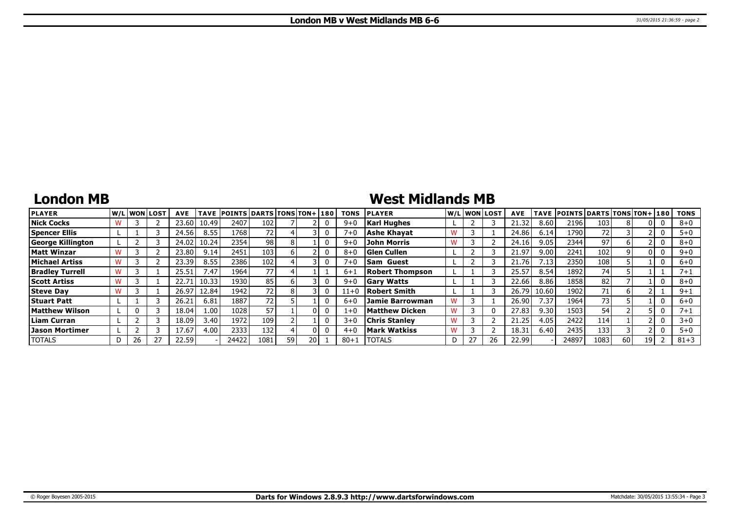## **London MB**

## **West Midlands MB**

| <b>PLAYER</b>            |     | lw/Llwonllost | <b>AVE</b> | <b>TAVE</b> | <b>POINTS DARTS TONS TON+1180</b> |      |      |      | <b>TONS</b> | <b>PLAYER</b>          |   | W/L WON LOST | <b>AVE</b> |       | TAVE POINTS DARTS TONS TON+ 180 |      |    |      | <b>TONS</b> |
|--------------------------|-----|---------------|------------|-------------|-----------------------------------|------|------|------|-------------|------------------------|---|--------------|------------|-------|---------------------------------|------|----|------|-------------|
| <b>Nick Cocks</b>        |     |               | 23.60      | 10.49       | 2407                              | 102  |      |      | $9 + C$     | <b>Karl Hughes</b>     |   |              | 21.32      | 8.60  | 2196                            | 103  |    |      | $8 + 0$     |
| <b>Spencer Ellis</b>     |     |               | 24.56      | 8.55        | 1768                              | 72   |      |      | 7+0         | Ashe Khavat            |   |              | 24.86      | 6.14  | 1790 l                          | 72   |    |      | $5 + 0$     |
| <b>George Killington</b> |     |               | 24.02      | 10.24       | 2354                              | 98   |      |      | $9 + C$     | John Morris            |   |              | 24.16      | 9.05  | 2344                            | 97   |    |      | $8 + 0$     |
| <b>Matt Winzar</b>       |     |               | 23.80      | 9.14        | 2451                              | 103  |      |      | $8 + C$     | <b>Glen Cullen</b>     |   |              | 21.97      | 9.00  | 2241                            | 102  |    |      | $9 + 0$     |
| Michael Artiss           |     |               | 23.39      | 8.55        | 2386                              | 102  |      |      | $7 + 6$     | <b>Sam Guest</b>       |   |              | 21.76      | 7.13  | 2350                            | 108  |    |      | $6 + 0$     |
| <b>Bradley Turrell</b>   |     |               | 25.51      | 7.47        | 1964                              | 77   |      |      | $6 + 1$     | <b>Robert Thompson</b> |   |              | 25.57      | 8.54  | 1892                            | 74   |    |      | 7+1         |
| <b>Scott Artiss</b>      |     |               | 22.71      | 10.33       | 1930                              | 85   |      |      | $9 + 0$     | <b>Gary Watts</b>      |   |              | 22.66      | 8.86  | 1858                            | 82   |    |      | $8 + 0$     |
| <b>Steve Day</b>         |     |               | 26.97      | 12.84       | 1942                              |      |      |      | $11+0$      | Robert Smith           |   |              | 26.79      | 10.60 | 1902                            | 71   |    |      | $9 + 1$     |
| <b>Stuart Patt</b>       |     |               | 26.21      | 6.81        | 1887                              | 72   |      |      | $6 + C$     | <b>Jamie Barrowman</b> |   |              | 26.90      | 7.37  | 1964                            | 73   |    |      | $6 + 0$     |
| <b>Matthew Wilson</b>    |     |               | 18.04      | 1.00        | 1028                              | 57   |      |      | $1+0$       | Matthew Dicken         |   |              | 27.83      | 9.30  | 1503                            | 54   |    |      | 7+:         |
| Liam Curran              |     |               | 18.09      | 3.40        | 1972                              | 109  |      |      | $3 + 0$     | <b>Chris Stanlev</b>   |   |              | 21.25      | 4.05  | 2422                            | 114  |    |      | $3 + 0$     |
| <b>Jason Mortimer</b>    |     |               | 17.67      | 4.00        | 2333                              | 132  |      |      | $4 + 6$     | Mark Watkiss           |   |              | 18.3       | 6.40  | 2435                            | 133  |    |      | $5 + 0$     |
| <b>TOTALS</b>            | 26. |               | 22.59      |             | 24422                             | 1081 | 59 I | ا 20 | $80 + 1$    | <b>TOTALS</b>          | D |              | 22.99      |       | 24897                           | 1083 | 60 | 19 I | $81 + 3$    |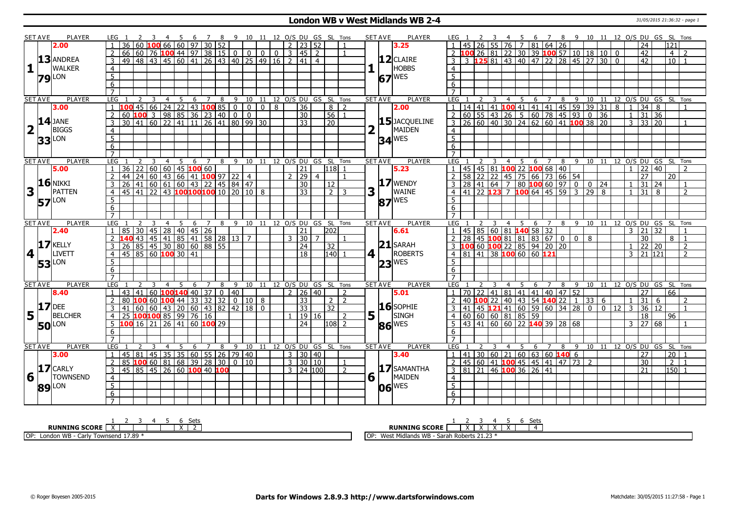### **London WB v West Midlands WB 2-4** 31/05/2015 21:36:32 - page 1

| <b>SET AVE</b>          |                 | <b>PLAYER</b>                                                                                                   | LEG 1               |                                |                 |    |                |                                  |    |                |                            |                        |                                                                                                                                                        |                                                                                                                           |                |                          |                         |                | 7 8 9 10 11 12 O/S DU GS SL Tons    |                |          | SET AVE               | <b>PLAYER</b>         | LEG 1               |                 |                           |                |                                                                                       | 6 <sup>6</sup> |                |                                 |     |                             |                                  |                 |                |                 | 7 8 9 10 11 12 O/S DU GS SL Tons                                                                                                                                                                                                                                                                             |                  |                                  |
|-------------------------|-----------------|-----------------------------------------------------------------------------------------------------------------|---------------------|--------------------------------|-----------------|----|----------------|----------------------------------|----|----------------|----------------------------|------------------------|--------------------------------------------------------------------------------------------------------------------------------------------------------|---------------------------------------------------------------------------------------------------------------------------|----------------|--------------------------|-------------------------|----------------|-------------------------------------|----------------|----------|-----------------------|-----------------------|---------------------|-----------------|---------------------------|----------------|---------------------------------------------------------------------------------------|----------------|----------------|---------------------------------|-----|-----------------------------|----------------------------------|-----------------|----------------|-----------------|--------------------------------------------------------------------------------------------------------------------------------------------------------------------------------------------------------------------------------------------------------------------------------------------------------------|------------------|----------------------------------|
|                         |                 | 2.00                                                                                                            |                     | $\overline{36}$                | $60\,100$       |    |                |                                  |    |                | 66 60 97 30 52             |                        |                                                                                                                                                        |                                                                                                                           |                |                          | $\frac{1}{2}$   23   52 |                |                                     |                |          |                       | 3.25                  |                     |                 |                           |                | $26$ 55 76 7                                                                          |                | 81 64 26       |                                 |     |                             |                                  |                 |                | 24              |                                                                                                                                                                                                                                                                                                              | $\overline{121}$ |                                  |
|                         |                 |                                                                                                                 | $\overline{2}$      |                                |                 |    |                |                                  |    |                |                            |                        |                                                                                                                                                        | $66 60 76$ 100 44 97 38 15 0 0 0 0                                                                                        | 0 <sup>1</sup> |                          | $3 \mid 45 \mid 2$      |                |                                     |                |          |                       |                       |                     |                 |                           |                |                                                                                       |                |                |                                 |     |                             | 26 81 22 30 39 100 57 10 18 10 0 |                 |                | $\overline{42}$ |                                                                                                                                                                                                                                                                                                              | $\overline{4}$   | $\overline{z}$                   |
|                         |                 | 13 ANDREA                                                                                                       | $\overline{3}$      | 49 48 43                       |                 |    |                |                                  |    |                |                            |                        |                                                                                                                                                        | 45 60 41 26 43 40 25 49 16                                                                                                |                | $\overline{\phantom{0}}$ | 41                      | $\overline{4}$ |                                     |                |          |                       | $12$ CLAIRE           |                     |                 |                           |                | 125 81 43 40 47 22 28 45 27                                                           |                |                |                                 |     |                             | $\overline{30}$                  | $\overline{0}$  |                | 42              |                                                                                                                                                                                                                                                                                                              | 10 <sub>1</sub>  |                                  |
| 1                       |                 | WALKER                                                                                                          | $\overline{4}$      |                                |                 |    |                |                                  |    |                |                            |                        |                                                                                                                                                        |                                                                                                                           |                |                          |                         |                |                                     |                |          |                       | HOBBS                 | $\overline{4}$      |                 |                           |                |                                                                                       |                |                |                                 |     |                             |                                  |                 |                |                 |                                                                                                                                                                                                                                                                                                              |                  |                                  |
|                         |                 | LON                                                                                                             | $5\overline{)}$     |                                |                 |    |                |                                  |    |                |                            |                        |                                                                                                                                                        |                                                                                                                           |                |                          |                         |                |                                     |                |          |                       | WES                   | $\overline{5}$      |                 |                           |                |                                                                                       |                |                |                                 |     |                             |                                  |                 |                |                 |                                                                                                                                                                                                                                                                                                              |                  |                                  |
| 79                      |                 |                                                                                                                 | 6                   |                                |                 |    |                |                                  |    |                |                            |                        |                                                                                                                                                        |                                                                                                                           |                |                          |                         |                |                                     |                |          | 67                    |                       | 6                   |                 |                           |                |                                                                                       |                |                |                                 |     |                             |                                  |                 |                |                 |                                                                                                                                                                                                                                                                                                              |                  |                                  |
|                         |                 |                                                                                                                 | $\overline{7}$      |                                |                 |    |                |                                  |    |                |                            |                        |                                                                                                                                                        |                                                                                                                           |                |                          |                         |                |                                     |                |          |                       |                       | $\overline{7}$      |                 |                           |                |                                                                                       |                |                |                                 |     |                             |                                  |                 |                |                 |                                                                                                                                                                                                                                                                                                              |                  |                                  |
| <b>SET AVE</b>          |                 | <b>PLAYER</b>                                                                                                   | <b>LEG</b>          |                                | 2               | -3 | 4              | $5\overline{)}$                  | 6  | $\overline{7}$ | 8                          |                        |                                                                                                                                                        |                                                                                                                           |                |                          |                         |                | 9 10 11 12 0/S DU GS SL Tons        |                |          | <b>SET AVE</b>        | <b>PLAYER</b>         | LEG                 |                 |                           |                |                                                                                       |                |                |                                 |     |                             |                                  |                 |                |                 |                                                                                                                                                                                                                                                                                                              |                  |                                  |
|                         |                 | 3.00                                                                                                            | $\overline{1}$      |                                |                 |    |                |                                  |    |                |                            |                        |                                                                                                                                                        |                                                                                                                           |                |                          | $\overline{36}$         |                | $8 \mid 2$                          |                |          |                       | 2.00                  |                     |                 |                           |                |                                                                                       |                |                |                                 |     |                             |                                  |                 |                |                 | $\frac{1}{1}$ $\frac{2}{3}$ $\frac{3}{4}$ $\frac{4}{5}$ $\frac{5}{6}$ $\frac{7}{7}$ $\frac{8}{9}$ $\frac{9}{10}$ $\frac{11}{11}$ $\frac{12}{12}$ $\frac{0}{05}$ $\frac{0}{05}$ $\frac{0}{55}$ $\frac{1}{11}$ $\frac{41}{11}$ $\frac{41}{11}$ $\frac{41}{11}$ $\frac{41}{11}$ $\frac{41}{11}$ $\frac{41}{11}$ |                  |                                  |
|                         |                 |                                                                                                                 | $\overline{2}$      |                                |                 |    |                |                                  |    |                |                            |                        |                                                                                                                                                        | <b>100</b> 45 66 24 22 43 <b>100</b> 85 0 0 0 8<br>60 <b>100</b> 3 98 85 36 23 40 0 0<br>30 41 60 22 41 11 26 41 80 99 30 |                |                          | $\overline{30}$         |                | 56                                  | $\overline{1}$ |          |                       |                       |                     |                 |                           |                |                                                                                       |                |                |                                 |     |                             |                                  |                 |                |                 |                                                                                                                                                                                                                                                                                                              |                  |                                  |
|                         |                 |                                                                                                                 | $\overline{3}$      |                                |                 |    |                |                                  |    |                |                            |                        |                                                                                                                                                        |                                                                                                                           |                |                          | $\overline{33}$         |                | $\overline{20}$                     |                |          |                       | 15 JACQUELINE         |                     |                 |                           |                |                                                                                       |                |                |                                 |     |                             |                                  |                 |                |                 |                                                                                                                                                                                                                                                                                                              |                  |                                  |
| $\overline{\mathbf{2}}$ |                 | $\frac{14}{1}$ JANE<br><b>BIGGS</b>                                                                             |                     |                                |                 |    |                |                                  |    |                |                            |                        |                                                                                                                                                        |                                                                                                                           |                |                          |                         |                |                                     |                |          |                       | MAIDEN                |                     |                 |                           |                |                                                                                       |                |                |                                 |     |                             |                                  |                 |                |                 |                                                                                                                                                                                                                                                                                                              |                  |                                  |
|                         |                 |                                                                                                                 | $\overline{4}$      |                                |                 |    |                |                                  |    |                |                            |                        |                                                                                                                                                        |                                                                                                                           |                |                          |                         |                |                                     |                |          |                       |                       | $\overline{4}$      |                 |                           |                |                                                                                       |                |                |                                 |     |                             |                                  |                 |                |                 |                                                                                                                                                                                                                                                                                                              |                  |                                  |
|                         | 33 <sup>1</sup> | LON                                                                                                             | $\overline{5}$      |                                |                 |    |                |                                  |    |                |                            |                        |                                                                                                                                                        |                                                                                                                           |                |                          |                         |                |                                     |                |          |                       | $34$ <sup>WES</sup>   | $\overline{5}$      |                 |                           |                |                                                                                       |                |                |                                 |     |                             |                                  |                 |                |                 |                                                                                                                                                                                                                                                                                                              |                  |                                  |
|                         |                 |                                                                                                                 | 6                   |                                |                 |    |                |                                  |    |                |                            |                        |                                                                                                                                                        |                                                                                                                           |                |                          |                         |                |                                     |                |          |                       |                       | 6                   |                 |                           |                |                                                                                       |                |                |                                 |     |                             |                                  |                 |                |                 |                                                                                                                                                                                                                                                                                                              |                  |                                  |
|                         |                 |                                                                                                                 |                     |                                |                 |    |                |                                  |    |                |                            |                        |                                                                                                                                                        |                                                                                                                           |                |                          |                         |                |                                     |                |          |                       |                       |                     |                 |                           |                |                                                                                       |                |                |                                 |     |                             |                                  |                 |                |                 |                                                                                                                                                                                                                                                                                                              |                  |                                  |
| <b>SET AVE</b>          |                 | <b>PLAYER</b>                                                                                                   | <b>LEG</b>          | 36                             | $\overline{22}$ | 3  | $\overline{4}$ | - 5<br>$\boxed{60}$ 60 45 100 60 | 6  | $\overline{7}$ | 8                          | 9                      |                                                                                                                                                        |                                                                                                                           |                |                          | 21                      |                | 10 11 12 O/S DU GS SL Tons<br>l118l |                |          | <b>SET AVE</b>        | <b>PLAYER</b><br>5.23 | LEG                 |                 |                           | $\overline{4}$ | - 5<br>45 45 81 100 22 100 68 40                                                      | 6              | 7 <sup>8</sup> |                                 | - 9 |                             |                                  |                 |                | $\overline{22}$ | 10 11 12 0/S DU GS SL Tons<br>40                                                                                                                                                                                                                                                                             |                  |                                  |
|                         |                 | 5.00                                                                                                            |                     |                                |                 |    |                |                                  |    |                |                            |                        |                                                                                                                                                        |                                                                                                                           |                |                          | 2 29                    | $\overline{4}$ |                                     | $\mathbf{1}$   |          |                       |                       |                     |                 |                           |                |                                                                                       |                |                |                                 |     |                             |                                  |                 |                | 27              |                                                                                                                                                                                                                                                                                                              | 20               |                                  |
|                         |                 | $16$ NIKKI                                                                                                      | 2                   |                                |                 |    |                |                                  |    |                |                            |                        |                                                                                                                                                        |                                                                                                                           |                |                          |                         |                |                                     |                |          |                       | $17$ WENDY            | 2<br>$\overline{3}$ |                 |                           |                | 58 22 22 45 75 66 73 66 54<br>28 41 64 7 80 100 60 97 0<br>41 22 123 7 100 64 45 59 3 |                |                |                                 |     |                             |                                  |                 |                | $\overline{31}$ |                                                                                                                                                                                                                                                                                                              |                  |                                  |
|                         |                 | PATTEN                                                                                                          | $\overline{3}$      |                                |                 |    |                |                                  |    |                |                            |                        |                                                                                                                                                        |                                                                                                                           |                |                          | 30                      |                | $\overline{12}$                     |                |          |                       |                       |                     |                 |                           |                |                                                                                       |                |                |                                 |     | $0$ 24<br>$\overline{29}$ 8 |                                  |                 |                |                 | 24                                                                                                                                                                                                                                                                                                           |                  | $\overline{1}$<br>$\overline{2}$ |
| 3<br>$\mathbf{I}$       |                 |                                                                                                                 | $\overline{4}$      |                                |                 |    |                |                                  |    |                |                            |                        |                                                                                                                                                        |                                                                                                                           |                |                          | $\overline{33}$         |                | $2 \mid 3$                          |                | 3        |                       | <b>WAINE</b>          |                     |                 |                           |                |                                                                                       |                |                |                                 |     |                             |                                  |                 | $\mathbf{1}$   | $\overline{31}$ | 8                                                                                                                                                                                                                                                                                                            |                  |                                  |
| 57                      |                 | LON                                                                                                             | 5                   |                                |                 |    |                |                                  |    |                |                            |                        |                                                                                                                                                        |                                                                                                                           |                |                          |                         |                |                                     |                |          |                       | $87$ WES              | .5                  |                 |                           |                |                                                                                       |                |                |                                 |     |                             |                                  |                 |                |                 |                                                                                                                                                                                                                                                                                                              |                  |                                  |
|                         |                 |                                                                                                                 | 6                   |                                |                 |    |                |                                  |    |                |                            |                        |                                                                                                                                                        |                                                                                                                           |                |                          |                         |                |                                     |                |          |                       |                       | 6                   |                 |                           |                |                                                                                       |                |                |                                 |     |                             |                                  |                 |                |                 |                                                                                                                                                                                                                                                                                                              |                  |                                  |
|                         |                 |                                                                                                                 | $\overline{7}$      |                                |                 |    |                |                                  |    |                |                            |                        |                                                                                                                                                        |                                                                                                                           |                |                          |                         |                |                                     |                |          |                       |                       |                     |                 |                           |                |                                                                                       |                |                |                                 |     |                             |                                  |                 |                |                 |                                                                                                                                                                                                                                                                                                              |                  |                                  |
| <b>SET AVE</b>          |                 | PLAYER                                                                                                          | <b>LEG</b>          |                                |                 |    | $\overline{4}$ | - 5                              | -6 | $\bar{z}$      | 8                          |                        |                                                                                                                                                        |                                                                                                                           |                |                          |                         |                | 9 10 11 12 O/S DU GS SL Tons        |                |          | <b>SET AVE</b>        | <b>PLAYER</b>         | LEG <sub>1</sub>    |                 |                           | $\overline{4}$ | 5                                                                                     |                |                |                                 |     |                             |                                  |                 |                | 3 21            | 6 7 8 9 10 11 12 O/S DU GS SL Tons<br>32                                                                                                                                                                                                                                                                     |                  | $\overline{1}$                   |
|                         |                 | 2.40                                                                                                            | $\overline{1}$      | 85 30 45 28 40 45 26           |                 |    |                |                                  |    |                |                            |                        |                                                                                                                                                        |                                                                                                                           |                |                          | 21                      |                | 202                                 |                |          |                       | 6.61                  |                     |                 |                           |                | 45 85 60 81 140 58 32                                                                 |                |                |                                 |     |                             |                                  |                 |                |                 |                                                                                                                                                                                                                                                                                                              |                  |                                  |
|                         |                 | $17$ <b>KELLY</b>                                                                                               | $\overline{2}$      |                                | $ 43\rangle$    |    |                |                                  |    |                |                            | 45 41 85 41 58 28 13 7 |                                                                                                                                                        |                                                                                                                           |                |                          | $3 \mid 30$             |                |                                     |                |          |                       | $21$ SARAH            |                     | $\overline{28}$ |                           |                | $45$ 100 81 81 83 67 0 0                                                              |                |                |                                 |     | 8                           |                                  |                 |                | $\overline{30}$ |                                                                                                                                                                                                                                                                                                              | 8 I              | $\overline{1}$                   |
|                         |                 |                                                                                                                 | 3                   |                                |                 |    |                |                                  |    |                | 26 85 45 30 80 60 88 55    |                        |                                                                                                                                                        |                                                                                                                           |                |                          | 24                      |                | $\boxed{32}$                        |                |          |                       |                       |                     | 100             |                           |                | 60 $100$ 22 85 94 20 20                                                               |                |                |                                 |     |                             |                                  |                 |                | 22 20           |                                                                                                                                                                                                                                                                                                              |                  | $\overline{2}$                   |
| $\vert$ 4               |                 | LIVETT                                                                                                          | $\overline{4}$      | $45 \ 85 \ 60 \ 100 \ 30 \ 41$ |                 |    |                |                                  |    |                |                            |                        |                                                                                                                                                        |                                                                                                                           |                |                          | $\overline{18}$         |                | 140                                 |                | 4 1      |                       | <b>ROBERTS</b>        |                     |                 |                           |                | 4 81 41 38 100 60 60 121                                                              |                |                |                                 |     |                             |                                  |                 | $\overline{3}$ | 21 121          |                                                                                                                                                                                                                                                                                                              |                  | $\overline{2}$                   |
| 53                      |                 | ON.                                                                                                             | 5                   |                                |                 |    |                |                                  |    |                |                            |                        |                                                                                                                                                        |                                                                                                                           |                |                          |                         |                |                                     |                |          | 23                    | <b>WES</b>            | $5\overline{)}$     |                 |                           |                |                                                                                       |                |                |                                 |     |                             |                                  |                 |                |                 |                                                                                                                                                                                                                                                                                                              |                  |                                  |
|                         |                 |                                                                                                                 | 6                   |                                |                 |    |                |                                  |    |                |                            |                        |                                                                                                                                                        |                                                                                                                           |                |                          |                         |                |                                     |                |          |                       |                       | 6                   |                 |                           |                |                                                                                       |                |                |                                 |     |                             |                                  |                 |                |                 |                                                                                                                                                                                                                                                                                                              |                  |                                  |
|                         |                 |                                                                                                                 | $\overline{7}$      |                                |                 |    |                |                                  |    |                |                            |                        |                                                                                                                                                        |                                                                                                                           |                |                          |                         |                |                                     |                |          |                       |                       |                     |                 |                           |                |                                                                                       |                |                |                                 |     |                             |                                  |                 |                |                 |                                                                                                                                                                                                                                                                                                              |                  |                                  |
| <b>SET AVE</b>          |                 | <b>PLAYER</b>                                                                                                   | <b>LEG</b>          |                                |                 |    | $\overline{4}$ |                                  | 6  |                | 8                          | 9                      |                                                                                                                                                        |                                                                                                                           |                |                          |                         |                | 10 11 12 O/S DU GS SL Tons          |                |          | <b>SET AVE</b>        | <b>PLAYER</b>         | <b>LEG</b>          |                 |                           | $\overline{4}$ |                                                                                       | 6              |                | 8                               | 9   |                             | 10 11                            |                 |                |                 | 12 O/S DU GS SL                                                                                                                                                                                                                                                                                              |                  | Tons                             |
|                         |                 | 8.40                                                                                                            | $\mathbf{1}$        | 43 41                          |                 |    |                | 60 100140 40                     |    | 37             |                            | $0$ 40                 |                                                                                                                                                        |                                                                                                                           |                |                          | 2   26   40             |                |                                     | 2              |          |                       | 5.01                  |                     |                 | $\overline{70}$   22   41 | 81             | 41                                                                                    |                |                | 41 40 47 52                     |     |                             |                                  |                 |                | 27              |                                                                                                                                                                                                                                                                                                              | 66               |                                  |
| 17                      |                 | DEE                                                                                                             | $\overline{2}$      | 80                             | 100             | 60 |                | $100$ 44 33 32                   |    |                | 32                         |                        | 0  10   8                                                                                                                                              |                                                                                                                           |                |                          | $\overline{33}$         |                | $2^{\circ}$                         | $\overline{2}$ |          |                       |                       |                     |                 |                           | $22 \mid 40$   |                                                                                       |                |                | $\boxed{43}$ 54 <b>140</b> 22 1 |     | 33 <sup>1</sup>             | - 6                              |                 |                | 31              | 6                                                                                                                                                                                                                                                                                                            |                  | $\mathcal{L}$                    |
|                         |                 |                                                                                                                 | 3                   |                                |                 |    |                |                                  |    |                |                            |                        | $\frac{1}{121}\begin{array}{ 160 } \hline 60 & 60 & 43 & 20 & 60 & 43 & 82 & 42 & 18 \ \hline 25 & 100 & 100 & 85 & 99 & 76 & 16 \ \hline \end{array}$ | $\mathbf{0}$                                                                                                              |                |                          | $\overline{33}$         |                | $\overline{32}$                     |                |          |                       | $16$ SOPHIE           |                     |                 |                           |                | 41 45 <b>121</b> 41 60 59 60 34 28                                                    |                |                |                                 |     | $\bf{0}$                    | $\mathbf{0}$                     | $\overline{12}$ | $\mathbf{3}$   | 36              | 12                                                                                                                                                                                                                                                                                                           |                  | $\overline{1}$                   |
| $5\vert$                |                 | <b>BELCHER</b>                                                                                                  | $\overline{4}$      |                                |                 |    |                |                                  |    |                |                            |                        |                                                                                                                                                        |                                                                                                                           |                |                          | 19 16                   |                |                                     | $\overline{2}$ |          | $5\vert$ <sup>1</sup> | <b>SINGH</b>          | $\overline{4}$      |                 |                           |                | $60$ 60 60 81 85 59                                                                   |                |                |                                 |     |                             |                                  |                 |                | $\overline{18}$ |                                                                                                                                                                                                                                                                                                              | 96               |                                  |
|                         |                 | <b>50</b> LON                                                                                                   | 5 <sup>5</sup>      | $100$ 16 21                    |                 |    | 26             | $\overline{41}$                  |    |                | 60 100 29                  |                        |                                                                                                                                                        |                                                                                                                           |                |                          | $\overline{24}$         |                | 108 2                               |                |          |                       | $86$ <sup>WES</sup>   | 5                   | $\overline{43}$ |                           |                | 41 60 60 22 140 39 28 68                                                              |                |                |                                 |     |                             |                                  |                 | 3              | 27              | 68                                                                                                                                                                                                                                                                                                           |                  | -1                               |
|                         |                 |                                                                                                                 | 6                   |                                |                 |    |                |                                  |    |                |                            |                        |                                                                                                                                                        |                                                                                                                           |                |                          |                         |                |                                     |                |          |                       |                       | 6                   |                 |                           |                |                                                                                       |                |                |                                 |     |                             |                                  |                 |                |                 |                                                                                                                                                                                                                                                                                                              |                  |                                  |
|                         |                 |                                                                                                                 | $\overline{7}$      |                                |                 |    |                |                                  |    |                |                            |                        |                                                                                                                                                        |                                                                                                                           |                |                          |                         |                |                                     |                |          |                       |                       | $\overline{7}$      |                 |                           |                |                                                                                       |                |                |                                 |     |                             |                                  |                 |                |                 |                                                                                                                                                                                                                                                                                                              |                  |                                  |
| <b>SET AVE</b>          |                 | PLAYER                                                                                                          | <b>LEG</b>          |                                |                 |    |                |                                  | 6  | 7              | 8                          | 9                      |                                                                                                                                                        |                                                                                                                           |                |                          |                         |                | 10 11 12 O/S DU GS SL Tons          |                |          | <b>SET AVE</b>        | PLAYER                | LEG                 |                 |                           | 4              |                                                                                       | 6              |                | 8                               | - 9 |                             |                                  |                 |                |                 | 10 11 12 O/S DU GS SL Tons                                                                                                                                                                                                                                                                                   |                  |                                  |
|                         |                 | 3.00                                                                                                            | 1                   | 45                             | 81              |    |                |                                  |    |                |                            |                        | 45 35 35 60 55 26 79 40                                                                                                                                |                                                                                                                           |                |                          | 3   30   40             |                |                                     |                |          |                       | 3.40                  | $\overline{1}$      | 41              |                           |                | $30 60 21 60 63 60$ 140 6                                                             |                |                |                                 |     |                             |                                  |                 |                | $\overline{27}$ |                                                                                                                                                                                                                                                                                                              | 20               |                                  |
|                         |                 |                                                                                                                 | $\overline{2}$      | 85 100 60 81 68 39 28          |                 |    |                |                                  |    |                | 30                         |                        | $\boxed{0}$ 10                                                                                                                                         |                                                                                                                           |                |                          | $3 \times 30 \times 10$ |                |                                     | $\overline{1}$ |          |                       |                       | l 2                 |                 |                           |                | 45 60 41 <b>100</b> 45 45 41 47 73 2                                                  |                |                |                                 |     |                             |                                  |                 |                | $\overline{30}$ |                                                                                                                                                                                                                                                                                                              | $\overline{2}$   | $\overline{1}$                   |
|                         |                 | $\frac{1}{6}$ $\frac{1}{1}$ $\frac{1}{1}$ $\frac{1}{1}$ $\frac{1}{1}$ $\frac{1}{1}$ $\frac{1}{1}$ $\frac{1}{1}$ | $\overline{3}$      |                                |                 |    |                |                                  |    |                | 145 85 45 26 60 100 40 100 |                        |                                                                                                                                                        |                                                                                                                           |                |                          | $3 \mid 24 \mid 100$    |                |                                     | $\overline{2}$ |          |                       | 17 SAMANTHA           | 3                   |                 |                           |                | 81 21 46 100 36 26 41                                                                 |                |                |                                 |     |                             |                                  |                 |                | 21              |                                                                                                                                                                                                                                                                                                              | 150l 1           |                                  |
|                         |                 | <b>TOWNSEND</b>                                                                                                 | $\overline{4}$      |                                |                 |    |                |                                  |    |                |                            |                        |                                                                                                                                                        |                                                                                                                           |                |                          |                         |                |                                     |                | $6\vert$ |                       | MAIDEN                | $\overline{4}$      |                 |                           |                |                                                                                       |                |                |                                 |     |                             |                                  |                 |                |                 |                                                                                                                                                                                                                                                                                                              |                  |                                  |
|                         |                 | 89 LON                                                                                                          | $\overline{5}$      |                                |                 |    |                |                                  |    |                |                            |                        |                                                                                                                                                        |                                                                                                                           |                |                          |                         |                |                                     |                |          |                       | $06$ <sup>WES</sup>   | $\overline{5}$      |                 |                           |                |                                                                                       |                |                |                                 |     |                             |                                  |                 |                |                 |                                                                                                                                                                                                                                                                                                              |                  |                                  |
|                         |                 |                                                                                                                 |                     |                                |                 |    |                |                                  |    |                |                            |                        |                                                                                                                                                        |                                                                                                                           |                |                          |                         |                |                                     |                |          |                       |                       |                     |                 |                           |                |                                                                                       |                |                |                                 |     |                             |                                  |                 |                |                 |                                                                                                                                                                                                                                                                                                              |                  |                                  |
|                         |                 |                                                                                                                 | 6<br>$\overline{7}$ |                                |                 |    |                |                                  |    |                |                            |                        |                                                                                                                                                        |                                                                                                                           |                |                          |                         |                |                                     |                |          |                       |                       | $6\overline{6}$     |                 |                           |                |                                                                                       |                |                |                                 |     |                             |                                  |                 |                |                 |                                                                                                                                                                                                                                                                                                              |                  |                                  |

| Sets                                            | Set.<br>ົ່ງບປະ                                                                                              |
|-------------------------------------------------|-------------------------------------------------------------------------------------------------------------|
| <b>SCORE</b><br><b>RUNNING</b><br>. .           | <b>RUNNING SCORE</b><br>. .<br>$\ddot{\phantom{1}}$<br>$\lambda$                                            |
| OP:<br>17.89<br>'ownsend<br>London WB<br>— Jai™ | 1, 22.<br>Mi<br>1idlands WB<br>I OP <sup>.</sup><br>دRoberts 21.2 (<br>. <b>.</b><br><b>vves</b><br>. Sarar |